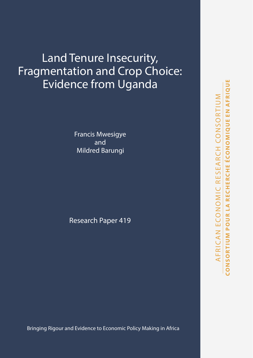# Land Tenure Insecurity, Fragmentation and Crop Choice: Evidence from Uganda

Francis Mwesigye and Mildred Barungi

Research Paper 419

Bringing Rigour and Evidence to Economic Policy Making in Africa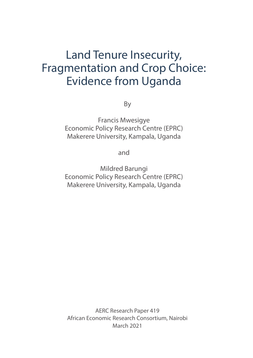# Land Tenure Insecurity, Fragmentation and Crop Choice: Evidence from Uganda

By

Francis Mwesigye Economic Policy Research Centre (EPRC) Makerere University, Kampala, Uganda

and

Mildred Barungi Economic Policy Research Centre (EPRC) Makerere University, Kampala, Uganda

AERC Research Paper 419 African Economic Research Consortium, Nairobi March 2021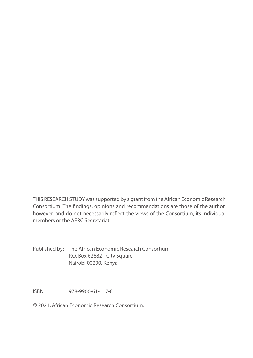THIS RESEARCH STUDY was supported by a grant from the African Economic Research Consortium. The findings, opinions and recommendations are those of the author, however, and do not necessarily reflect the views of the Consortium, its individual members or the AERC Secretariat.

Published by: The African Economic Research Consortium P.O. Box 62882 - City Square Nairobi 00200, Kenya

ISBN 978-9966-61-117-8

© 2021, African Economic Research Consortium.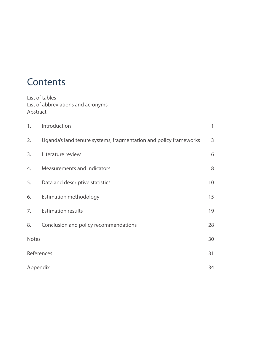# **Contents**

List of tables List of abbreviations and acronyms Abstract

| 1.       | Introduction                                                      | 1  |
|----------|-------------------------------------------------------------------|----|
| 2.       | Uganda's land tenure systems, fragmentation and policy frameworks | 3  |
| 3.       | Literature review                                                 | 6  |
| 4.       | Measurements and indicators                                       | 8  |
| 5.       | Data and descriptive statistics                                   | 10 |
| 6.       | <b>Estimation methodology</b>                                     | 15 |
| 7.       | <b>Estimation results</b>                                         | 19 |
| 8.       | Conclusion and policy recommendations                             | 28 |
| Notes    |                                                                   | 30 |
|          | References                                                        | 31 |
| Appendix |                                                                   | 34 |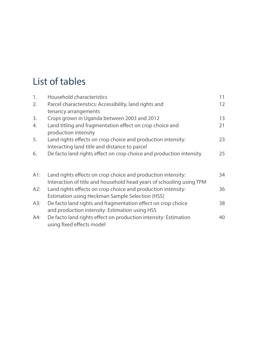# List of tables

| 1.  | Household characteristics                                                                                              | 11 |
|-----|------------------------------------------------------------------------------------------------------------------------|----|
| 2.  | Parcel characteristics: Accessibility, land rights and                                                                 | 12 |
|     | tenancy arrangements                                                                                                   |    |
| 3.  | Crops grown in Uganda between 2003 and 2012                                                                            | 13 |
| 4.  | Land titling and fragmentation effect on crop choice and<br>production intensity                                       | 21 |
| 5.  | Land rights effects on crop choice and production intensity:<br>Interacting land title and distance to parcel          | 23 |
| 6.  | De facto land rights effect on crop choice and production intensity                                                    | 25 |
| A1: | Land rights effects on crop choice and production intensity:                                                           | 34 |
|     | Interaction of title and household head years of schooling using TPM                                                   |    |
| A2: | Land rights effects on crop choice and production intensity:<br><b>Estimation using Heckman Sample Selection (HSS)</b> | 36 |
| A3: | De facto land rights and fragmentation effect on crop choice<br>and production intensity: Estimation using HSS         | 38 |
| A4: | De facto land rights effect on production intensity: Estimation<br>using fixed effects model                           | 40 |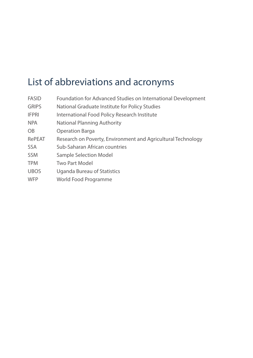# List of abbreviations and acronyms

| <b>FASID</b>   | Foundation for Advanced Studies on International Development |
|----------------|--------------------------------------------------------------|
| <b>GRIPS</b>   | National Graduate Institute for Policy Studies               |
| <b>IFPRI</b>   | International Food Policy Research Institute                 |
| <b>NPA</b>     | National Planning Authority                                  |
| O <sub>B</sub> | <b>Operation Barga</b>                                       |
| RePEAT         | Research on Poverty, Environment and Agricultural Technology |
| <b>SSA</b>     | Sub-Saharan African countries                                |
| <b>SSM</b>     | <b>Sample Selection Model</b>                                |
| <b>TPM</b>     | Two Part Model                                               |
| <b>UBOS</b>    | Uganda Bureau of Statistics                                  |
| <b>WFP</b>     | World Food Programme                                         |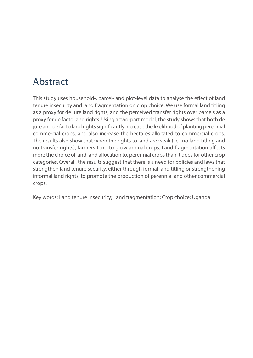## Abstract

This study uses household-, parcel- and plot-level data to analyse the effect of land tenure insecurity and land fragmentation on crop choice. We use formal land titling as a proxy for de jure land rights, and the perceived transfer rights over parcels as a proxy for de facto land rights. Using a two-part model, the study shows that both de jure and de facto land rights significantly increase the likelihood of planting perennial commercial crops, and also increase the hectares allocated to commercial crops. The results also show that when the rights to land are weak (i.e., no land titling and no transfer rights), farmers tend to grow annual crops. Land fragmentation affects more the choice of, and land allocation to, perennial crops than it does for other crop categories. Overall, the results suggest that there is a need for policies and laws that strengthen land tenure security, either through formal land titling or strengthening informal land rights, to promote the production of perennial and other commercial crops.

Key words: Land tenure insecurity; Land fragmentation; Crop choice; Uganda.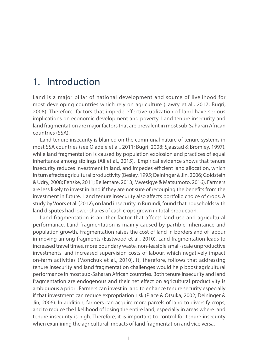### 1. Introduction

Land is a major pillar of national development and source of livelihood for most developing countries which rely on agriculture (Lawry et al., 2017; Bugri, 2008). Therefore, factors that impede effective utilization of land have serious implications on economic development and poverty. Land tenure insecurity and land fragmentation are major factors that are prevalent in most sub-Saharan African countries (SSA).

Land tenure insecurity is blamed on the communal nature of tenure systems in most SSA countries (see Oladele et al., 2011; Bugri, 2008; Sjaastad & Bromley, 1997), while land fragmentation is caused by population explosion and practices of equal inheritance among siblings (Ali et al., 2015). Empirical evidence shows that tenure insecurity reduces investment in land, and impedes efficient land allocation, which in turn affects agricultural productivity (Besley, 1995; Deininger & Jin, 2006; Goldstein & Udry, 2008; Fenske, 2011; Bellemare, 2013; Mwesigye & Matsumoto, 2016). Farmers are less likely to invest in land if they are not sure of recouping the benefits from the investment in future. Land tenure insecurity also affects portfolio choice of crops. A study by Voors et al. (2012), on land insecurity in Burundi, found that households with land disputes had lower shares of cash crops grown in total production.

Land fragmentation is another factor that affects land use and agricultural performance. Land fragmentation is mainly caused by partible inheritance and population growth. Fragmentation raises the cost of land in borders and of labour in moving among fragments (Eastwood et al., 2010). Land fragmentation leads to increased travel times, more boundary waste, non-feasible small-scale unproductive investments, and increased supervision costs of labour, which negatively impact on-farm activities (Monchuk et al., 2010). It, therefore, follows that addressing tenure insecurity and land fragmentation challenges would help boost agricultural performance in most sub-Saharan African countries. Both tenure insecurity and land fragmentation are endogenous and their net effect on agricultural productivity is ambiguous a priori. Farmers can invest in land to enhance tenure security especially if that investment can reduce expropriation risk (Place & Otsuka, 2002; Deininger & Jin, 2006). In addition, farmers can acquire more parcels of land to diversify crops, and to reduce the likelihood of losing the entire land, especially in areas where land tenure insecurity is high. Therefore, it is important to control for tenure insecurity when examining the agricultural impacts of land fragmentation and vice versa.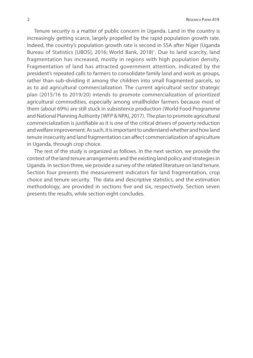Tenure security is a matter of public concern in Uganda. Land in the country is increasingly getting scarce, largely propelled by the rapid population growth rate. Indeed, the country's population growth rate is second in SSA after Niger (Uganda Bureau of Statistics [UBOS], 2016; World Bank, 2018)<sup>1</sup>. Due to land scarcity, land fragmentation has increased, mostly in regions with high population density. Fragmentation of land has attracted government attention, indicated by the president's repeated calls to farmers to consolidate family land and work as groups, rather than sub-dividing it among the children into small fragmented parcels, so as to aid agricultural commercialization. The current agricultural sector strategic plan (2015/16 to 2019/20) intends to promote commercialization of prioritized agricultural commodities, especially among smallholder farmers because most of them (about 69%) are still stuck in subsistence production (World Food Programme and National Planning Authority [WFP & NPA], 2017). The plan to promote agricultural commercialization is justifiable as it is one of the critical drivers of poverty reduction and welfare improvement. As such, it is important to understand whether and how land tenure insecurity and land fragmentation can affect commercialization of agriculture in Uganda, through crop choice.

The rest of the study is organized as follows. In the next section, we provide the context of the land tenure arrangements and the existing land policy and strategies in Uganda. In section three, we provide a survey of the related literature on land tenure. Section four presents the measurement indicators for land fragmentation, crop choice and tenure security. The data and descriptive statistics, and the estimation methodology, are provided in sections five and six, respectively. Section seven presents the results, while section eight concludes.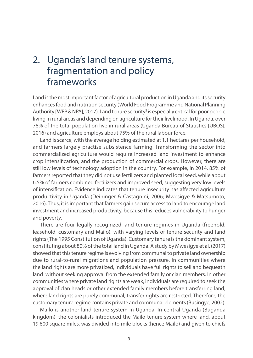## 2. Uganda's land tenure systems, fragmentation and policy frameworks

Land is the most important factor of agricultural production in Uganda and its security enhances food and nutrition security (World Food Programme and National Planning Authority [WFP & NPA], 2017). Land tenure security<sup>2</sup> is especially critical for poor people living in rural areas and depending on agriculture for their livelihood. In Uganda, over 78% of the total population live in rural areas (Uganda Bureau of Statistics [UBOS], 2016) and agriculture employs about 75% of the rural labour force.

Land is scarce, with the average holding estimated at 1.1 hectares per household, and farmers largely practise subsistence farming. Transforming the sector into commercialized agriculture would require increased land investment to enhance crop intensification, and the production of commercial crops. However, there are still low levels of technology adoption in the country. For example, in 2014, 85% of farmers reported that they did not use fertilizers and planted local seed, while about 6.5% of farmers combined fertilizers and improved seed, suggesting very low levels of intensification. Evidence indicates that tenure insecurity has affected agriculture productivity in Uganda (Deininger & Castagnini, 2006; Mwesigye & Matsumoto, 2016). Thus, it is important that farmers gain secure access to land to encourage land investment and increased productivity, because this reduces vulnerability to hunger and poverty.

There are four legally recognized land tenure regimes in Uganda (freehold, leasehold, customary and Mailo), with varying levels of tenure security and land rights (The 1995 Constitution of Uganda). Customary tenure is the dominant system, constituting about 80% of the total land in Uganda. A study by Mwesigye et al. (2017) showed that this tenure regime is evolving from communal to private land ownership due to rural-to-rural migrations and population pressure. In communities where the land rights are more privatized, individuals have full rights to sell and bequeath land without seeking approval from the extended family or clan members. In other communities where private land rights are weak, individuals are required to seek the approval of clan heads or other extended family members before transferring land; where land rights are purely communal, transfer rights are restricted. Therefore, the customary tenure regime contains private and communal elements (Busingye, 2002).

Mailo is another land tenure system in Uganda. In central Uganda (Buganda kingdom), the colonialists introduced the Mailo tenure system where land, about 19,600 square miles, was divided into mile blocks (hence Mailo) and given to chiefs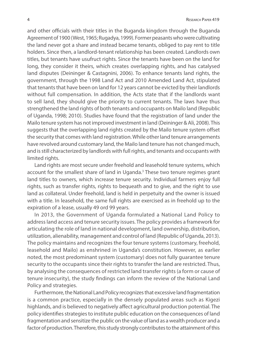and other officials with their titles in the Buganda kingdom through the Buganda Agreement of 1900 (West, 1965; Rugadya, 1999). Former peasants who were cultivating the land never got a share and instead became tenants, obliged to pay rent to title holders. Since then, a landlord-tenant relationship has been created. Landlords own titles, but tenants have usufruct rights. Since the tenants have been on the land for long, they consider it theirs, which creates overlapping rights, and has catalysed land disputes (Deininger & Castagnini, 2006). To enhance tenants land rights, the government, through the 1998 Land Act and 2010 Amended Land Act, stipulated that tenants that have been on land for 12 years cannot be evicted by their landlords without full compensation. In addition, the Acts state that if the landlords want to sell land, they should give the priority to current tenants. The laws have thus strengthened the land rights of both tenants and occupants on Mailo land (Republic of Uganda, 1998; 2010). Studies have found that the registration of land under the Mailo tenure system has not improved investment in land (Deininger & Ali, 2008). This suggests that the overlapping land rights created by the Mailo tenure system offset the security that comes with land registration. While other land tenure arrangements have revolved around customary land, the Mailo land tenure has not changed much, and is still characterized by landlords with full rights, and tenants and occupants with limited rights.

Land rights are most secure under freehold and leasehold tenure systems, which account for the smallest share of land in Uganda.<sup>3</sup> These two tenure regimes grant land titles to owners, which increase tenure security. Individual farmers enjoy full rights, such as transfer rights, rights to bequeath and to give, and the right to use land as collateral. Under freehold, land is held in perpetuity and the owner is issued with a title. In leasehold, the same full rights are exercised as in freehold up to the expiration of a lease, usually 49 ord 99 years.

In 2013, the Government of Uganda formulated a National Land Policy to address land access and tenure security issues. The policy provides a framework for articulating the role of land in national development, land ownership, distribution, utilization, alienability, management and control of land (Republic of Uganda, 2013). The policy maintains and recognizes the four tenure systems (customary, freehold, leasehold and Mailo) as enshrined in Uganda's constitution. However, as earlier noted, the most predominant system (customary) does not fully guarantee tenure security to the occupants since their rights to transfer the land are restricted. Thus, by analysing the consequences of restricted land transfer rights (a form or cause of tenure insecurity), the study findings can inform the review of the National Land Policy and strategies.

Furthermore, the National Land Policy recognizes that excessive land fragmentation is a common practice, especially in the densely populated areas such as Kigezi highlands, and is believed to negatively affect agricultural production potential. The policy identifies strategies to institute public education on the consequences of land fragmentation and sensitize the public on the value of land as a wealth producer and a factor of production. Therefore, this study strongly contributes to the attainment of this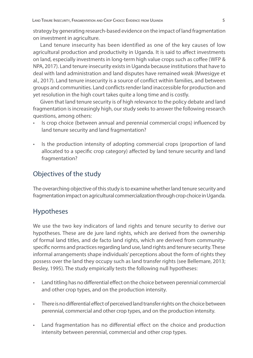strategy by generating research-based evidence on the impact of land fragmentation on investment in agriculture.

Land tenure insecurity has been identified as one of the key causes of low agricultural production and productivity in Uganda. It is said to affect investments on land, especially investments in long-term high value crops such as coffee (WFP & NPA, 2017). Land tenure insecurity exists in Uganda because institutions that have to deal with land administration and land disputes have remained weak (Mwesigye et al., 2017). Land tenure insecurity is a source of conflict within families, and between groups and communities. Land conflicts render land inaccessible for production and yet resolution in the high court takes quite a long time and is costly.

Given that land tenure security is of high relevance to the policy debate and land fragmentation is increasingly high, our study seeks to answer the following research questions, among others:

- Is crop choice (between annual and perennial commercial crops) influenced by land tenure security and land fragmentation?
- Is the production intensity of adopting commercial crops (proportion of land allocated to a specific crop category) affected by land tenure security and land fragmentation?

#### Objectives of the study

The overarching objective of this study is to examine whether land tenure security and fragmentation impact on agricultural commercialization through crop choice in Uganda.

#### Hypotheses

We use the two key indicators of land rights and tenure security to derive our hypotheses. These are de jure land rights, which are derived from the ownership of formal land titles, and de facto land rights, which are derived from communityspecific norms and practices regarding land use, land rights and tenure security. These informal arrangements shape individuals' perceptions about the form of rights they possess over the land they occupy such as land transfer rights (see Bellemare, 2013; Besley, 1995). The study empirically tests the following null hypotheses:

- Land titling has no differential effect on the choice between perennial commercial and other crop types, and on the production intensity.
- There is no differential effect of perceived land transfer rights on the choice between perennial, commercial and other crop types, and on the production intensity.
- Land fragmentation has no differential effect on the choice and production intensity between perennial, commercial and other crop types.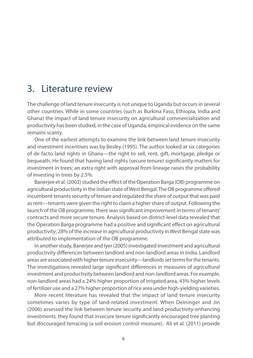## 3. Literature review

The challenge of land tenure insecurity is not unique to Uganda but occurs in several other countries. While in some countries (such as Burkina Faso, Ethiopia, India and Ghana) the impact of land tenure insecurity on agricultural commercialization and productivity has been studied, in the case of Uganda, empirical evidence on the same remains scanty.

One of the earliest attempts to examine the link between land tenure insecurity and investment incentives was by Besley (1995). The author looked at six categories of de facto land rights in Ghana—the right to sell, rent, gift, mortgage, pledge or bequeath. He found that having land rights (secure tenure) significantly matters for investment in trees; an extra right with approval from lineage raises the probability of investing in trees by 2.5%.

Banerjee et al. (2002) studied the effect of the Operation Barga (OB) programme on agricultural productivity in the Indian state of West Bengal. The OB programme offered incumbent tenants security of tenure and regulated the share of output that was paid as rent—tenants were given the right to claim a higher share of output. Following the launch of the OB programme, there was significant improvement in terms of tenants' contracts and more secure tenure. Analysis based on district-level data revealed that the Operation Barga programme had a positive and significant effect on agricultural productivity; 28% of the increase in agricultural productivity in West Bengal state was attributed to implementation of the OB programme.

In another study, Banerjee and Iyer (2005) investigated investment and agricultural productivity differences between landlord and non-landlord areas in India. Landlord areas are associated with higher tenure insecurity—landlords set terms for the tenants. The investigations revealed large significant differences in measures of agricultural investment and productivity between landlord and non-landlord areas. For example, non-landlord areas had a 24% higher proportion of irrigated area, 43% higher levels of fertilizer use and a 27% higher proportion of rice area under high-yielding varieties.

More recent literature has revealed that the impact of land tenure insecurity sometimes varies by type of land-related investment. When Deininger and Jin (2006) assessed the link between tenure security and land productivity-enhancing investments, they found that insecure tenure significantly encouraged tree planting but discouraged terracing (a soil erosion control measure). Ali et al. (2011) provide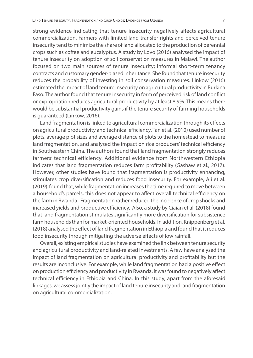strong evidence indicating that tenure insecurity negatively affects agricultural commercialization. Farmers with limited land transfer rights and perceived tenure insecurity tend to minimize the share of land allocated to the production of perennial crops such as coffee and eucalyptus. A study by Lovo (2016) analysed the impact of tenure insecurity on adoption of soil conservation measures in Malawi. The author focused on two main sources of tenure insecurity; informal short-term tenancy contracts and customary gender-biased inheritance. She found that tenure insecurity reduces the probability of investing in soil conservation measures. Linkow (2016) estimated the impact of land tenure insecurity on agricultural productivity in Burkina Faso. The author found that tenure insecurity in form of perceived risk of land conflict or expropriation reduces agricultural productivity by at least 8.9%. This means there would be substantial productivity gains if the tenure security of farming households is guaranteed (Linkow, 2016).

Land fragmentation is linked to agricultural commercialization through its effects on agricultural productivity and technical efficiency. Tan et al. (2010) used number of plots, average plot sizes and average distance of plots to the homestead to measure land fragmentation, and analysed the impact on rice producers' technical efficiency in Southeastern China. The authors found that land fragmentation strongly reduces farmers' technical efficiency. Additional evidence from Northwestern Ethiopia indicates that land fragmentation reduces farm profitability (Gashaw et al., 2017). However, other studies have found that fragmentation is productivity enhancing, stimulates crop diversification and reduces food insecurity. For example, Ali et al. (2019) found that, while fragmentation increases the time required to move between a household's parcels, this does not appear to affect overall technical efficiency on the farm in Rwanda. Fragmentation rather reduced the incidence of crop shocks and increased yields and productive efficiency. Also, a study by Ciaian et al. (2018) found that land fragmentation stimulates significantly more diversification for subsistence farm households than for market-oriented households. In addition, Knippenberg et al. (2018) analysed the effect of land fragmentation in Ethiopia and found that it reduces food insecurity through mitigating the adverse effects of low rainfall.

Overall, existing empirical studies have examined the link between tenure security and agricultural productivity and land-related investments. A few have analysed the impact of land fragmentation on agricultural productivity and profitability but the results are inconclusive. For example, while land fragmentation had a positive effect on production efficiency and productivity in Rwanda, it was found to negatively affect technical efficiency in Ethiopia and China. In this study, apart from the aforesaid linkages, we assess jointly the impact of land tenure insecurity and land fragmentation on agricultural commercialization.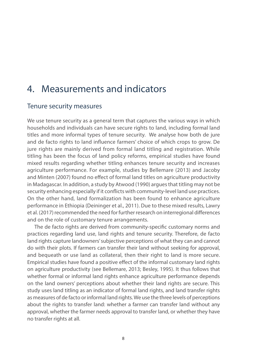## 4. Measurements and indicators

#### Tenure security measures

We use tenure security as a general term that captures the various ways in which households and individuals can have secure rights to land, including formal land titles and more informal types of tenure security. We analyse how both de jure and de facto rights to land influence farmers' choice of which crops to grow. De jure rights are mainly derived from formal land titling and registration. While titling has been the focus of land policy reforms, empirical studies have found mixed results regarding whether titling enhances tenure security and increases agriculture performance. For example, studies by Bellemare (2013) and Jacoby and Minten (2007) found no effect of formal land titles on agriculture productivity in Madagascar. In addition, a study by Atwood (1990) argues that titling may not be security enhancing especially if it conflicts with community-level land use practices. On the other hand, land formalization has been found to enhance agriculture performance in Ethiopia (Deininger et al., 2011). Due to these mixed results, Lawry et al. (2017) recommended the need for further research on interregional differences and on the role of customary tenure arrangements.

The de facto rights are derived from community-specific customary norms and practices regarding land use, land rights and tenure security. Therefore, de facto land rights capture landowners' subjective perceptions of what they can and cannot do with their plots. If farmers can transfer their land without seeking for approval, and bequeath or use land as collateral, then their right to land is more secure. Empirical studies have found a positive effect of the informal customary land rights on agriculture productivity (see Bellemare, 2013; Besley, 1995). It thus follows that whether formal or informal land rights enhance agriculture performance depends on the land owners' perceptions about whether their land rights are secure. This study uses land titling as an indicator of formal land rights, and land transfer rights as measures of de facto or informal land rights. We use the three levels of perceptions about the rights to transfer land: whether a farmer can transfer land without any approval, whether the farmer needs approval to transfer land, or whether they have no transfer rights at all.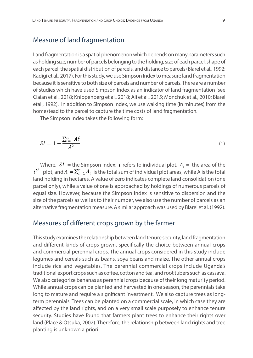#### Measure of land fragmentation

Land fragmentation is a spatial phenomenon which depends on many parameters such as holding size, number of parcels belonging to the holding, size of each parcel, shape of each parcel, the spatial distribution of parcels, and distance to parcels (Blarel et al., 1992; Kadigi et al., 2017). For this study, we use Simpson Index to measure land fragmentation because it is sensitive to both size of parcels and number of parcels. There are a number of studies which have used Simpson Index as an indicator of land fragmentation (see Ciaian et al., 2018; Knippenberg et al., 2018; Ali et al., 2015; Monchuk et al., 2010; Blarel etal., 1992). In addition to Simpson Index, we use walking time (in minutes) from the homestead to the parcel to capture the time costs of land fragmentation.

The Simpson Index takes the following form:

$$
SI = 1 - \frac{\sum_{i=1}^{n} A_i^2}{A^2} \tag{1}
$$

Where,  $SI =$  the Simpson Index; *i* refers to individual plot,  $A_i =$  the area of the  $i^{th}$  plot, and  $A = \sum_{i=1}^{n} A_i$  is the total sum of individual plot areas, while A is the total land holding in hectares. A value of zero indicates complete land consolidation (one parcel only), while a value of one is approached by holdings of numerous parcels of equal size. However, because the Simpson Index is sensitive to dispersion and the size of the parcels as well as to their number, we also use the number of parcels as an alternative fragmentation measure. A similar approach was used by Blarel et al. (1992).

#### Measures of different crops grown by the farmer

This study examines the relationship between land tenure security, land fragmentation and different kinds of crops grown, specifically the choice between annual crops and commercial perennial crops. The annual crops considered in this study include legumes and cereals such as beans, soya beans and maize. The other annual crops include rice and vegetables. The perennial commercial crops include Uganda's traditional export crops such as coffee, cotton and tea, and root tubers such as cassava. We also categorize bananas as perennial crops because of their long maturity period. While annual crops can be planted and harvested in one season, the perennials take long to mature and require a significant investment. We also capture trees as longterm perennials. Trees can be planted on a commercial scale, in which case they are affected by the land rights, and on a very small scale purposely to enhance tenure security. Studies have found that farmers plant trees to enhance their rights over land (Place & Otsuka, 2002). Therefore, the relationship between land rights and tree planting is unknown a priori.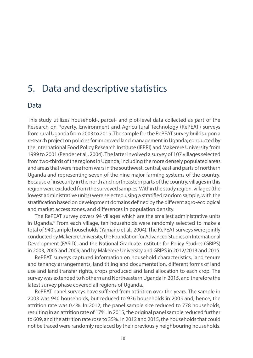## 5. Data and descriptive statistics

#### Data

This study utilizes household-, parcel- and plot-level data collected as part of the Research on Poverty, Environment and Agricultural Technology (RePEAT) surveys from rural Uganda from 2003 to 2015. The sample for the RePEAT survey builds upon a research project on policies for improved land management in Uganda, conducted by the International Food Policy Research Institute (IFPRI) and Makerere University from 1999 to 2001 (Pender et al., 2004). The latter involved a survey of 107 villages selected from two-thirds of the regions in Uganda, including the more densely populated areas and areas that were free from wars in the southwest, central, east and parts of northern Uganda and representing seven of the nine major farming systems of the country. Because of insecurity in the north and northeastern parts of the country, villages in this region were excluded from the surveyed samples. Within the study region, villages (the lowest administrative units) were selected using a stratified random sample, with the stratification based on development domains defined by the different agro-ecological and market access zones, and differences in population density.

The RePEAT survey covers 94 villages which are the smallest administrative units in Uganda.4 From each village, ten households were randomly selected to make a total of 940 sample households (Yamano et al., 2004). The RePEAT surveys were jointly conducted by Makerere University, the Foundation for Advanced Studies on International Development (FASID), and the National Graduate Institute for Policy Studies (GRIPS) in 2003, 2005 and 2009, and by Makerere University and GRIPS in 2012/2013 and 2015.

RePEAT surveys captured information on household characteristics, land tenure and tenancy arrangements, land titling and documentation, different forms of land use and land transfer rights, crops produced and land allocation to each crop. The survey was extended to Nothern and Northeastern Uganda in 2015, and therefore the latest survey phase covered all regions of Uganda.

RePEAT panel surveys have suffered from attirition over the years. The sample in 2003 was 940 households, but reduced to 936 households in 2005 and, hence, the attrition rate was 0.4%. In 2012, the panel sample size reduced to 778 households, resulting in an attrition rate of 17%. In 2015, the original panel sample reduced further to 609, and the attrition rate rose to 35%. In 2012 and 2015, the households that could not be traced were randomly replaced by their previously neighbouring households.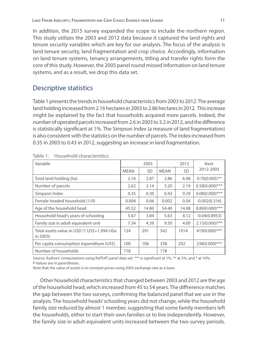In addition, the 2015 survey expanded the scope to include the northern region. This study utilizes the 2003 and 2012 data because it captured the land rights and tenure security variables which are key for our analysis. The focus of the analysis is land tenure security, land fragmentation and crop choice. Accordingly, information on land tenure systems, tenancy arrangements, titling and transfer rights form the core of this study. However, the 2005 panel round missed information on land tenure systems, and as a result, we drop this data set.

#### Descriptive statistics

Table 1 presents the trends in household characteristics from 2003 to 2012. The average land holding increased from 2.16 hectares in 2003 to 2.86 hectares in 2012. This increase might be explained by the fact that households acquired more parcels. Indeed, the number of operated parcels increased from 2.6 in 2003 to 3.2 in 2012, and the difference is statistically significant at 1%. The Simpson Index (a measure of land fragmentation) is also consistent with the statistics on the number of parcels. The index increased from 0.35 in 2003 to 0.43 in 2012, suggesting an increase in land fragmentation.

| Variable                                                 |             | 2003  |             | 2012      | ttest:            |
|----------------------------------------------------------|-------------|-------|-------------|-----------|-------------------|
|                                                          | <b>MEAN</b> | SD    | <b>MEAN</b> | <b>SD</b> | 2012-2003         |
| Total land holding (ha)                                  | 2.16        | 2.87  | 2.86        | 6.48      | $0.70(0.005)$ **  |
| Number of parcels                                        | 2.62        | 2.14  | 3.20        | 2.19      | $0.58(0.000)$ *** |
| Simpson Index                                            | 0.35        | 0.30  | 0.43        | 0.29      | $0.08(0.000)$ *** |
| Female headed household (1/0)                            | 0.004       | 0.06  | 0.002       | 0.04      | $-0.002(0.316)$   |
| Age of the household head                                | 45.52       | 14.80 | 54.40       | 14.08     | 8.89(0.000)***    |
| Household head's years of schooling                      | 5.67        | 3.84  | 5.63        | 4.12      | $-0.04(0.8953)$   |
| Family size in adult equivalent unit                     | 7.34        | 4.39  | 9.50        | 4.00      | $2.15(0.000)$ *** |
| Total assets value in USD (1 US\$=1,994 UGx)<br>in 2003) | 124         | 291   | 542         | 1014      | 419(0.000)***     |
| Per capita consumption expenditure (US\$)                | 100         | 106   | 338         | 202       | 238(0.000)***     |
| Number of households                                     | 778         |       | 778         |           |                   |

Table 1: Household characteristics

Source: Authors' computations using RePEAT panel data set. \*\*\* is significant at 1%, \*\* at 5%, and \* at 10%. P-Values are in parentheses.

Note that the value of assets is in constant prices using 2003 exchange rate as a base.

Other household characteristics that changed between 2003 and 2012 are the age of the household head, which increased from 45 to 54 years. The diffrerence matches the gap between the two surveys, confirming the balanced panel that we use in the analysis. The household heads' schooling years did not change, while the household family size reduced by almost 1 member, suggesting that some family members left the households, either to start their own families or to live independently. However, the family size in adult equivalent units increased between the two survey periods.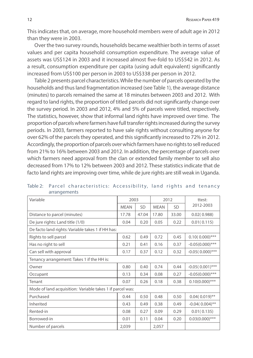This indicates that, on average, more household members were of adult age in 2012 than they were in 2003.

Over the two survey rounds, households became wealthier both in terms of asset values and per capita household consumption expenditure. The average value of assets was US\$124 in 2003 and it increased almost five-fold to US\$542 in 2012. As a result, consumption expenditure per capita (using adult equivalent) significantly increased from US\$100 per person in 2003 to US\$338 per person in 2012.

Table 2 presents parcel characteristics. While the number of parcels operated by the households and thus land fragmentation increased (see Table 1), the average distance (minutes) to parcels remained the same at 18 minutes between 2003 and 2012. With regard to land rights, the proportion of titled parcels did not significantly change over the survey period. In 2003 and 2012, 4% and 5% of parcels were titled, respectively. The statistics, however, show that informal land rights have improved over time. The proportion of parcels where farmers have full transfer rights increased during the survey periods. In 2003, farmers reported to have sale rights without consulting anyone for over 62% of the parcels they operated, and this significantly increased to 72% in 2012. Accordingly, the proportion of parcels over which farmers have no rights to sell reduced from 21% to 16% between 2003 and 2012. In addition, the percentage of parcels over which farmers need approval from the clan or extended family member to sell also decreased from 17% to 12% between 2003 and 2012. These statistics indicate that de facto land rights are improving over time, while de jure rights are still weak in Uganda.

| Variable                                                  | 2003        |           |             | 2012      | ttest:             |
|-----------------------------------------------------------|-------------|-----------|-------------|-----------|--------------------|
|                                                           | <b>MEAN</b> | <b>SD</b> | <b>MFAN</b> | <b>SD</b> | 2012-2003          |
| Distance to parcel (minutes)                              | 17.78       | 47.04     | 17.80       | 33.00     | 0.02(0.988)        |
| De jure rights: Land title (1/0)                          | 0.04        | 0.20      | 0.05        | 0.22      | 0.01(0.115)        |
| De facto land rights: Variable takes 1 if HH has:         |             |           |             |           |                    |
| Rights to sell parcel                                     | 0.62        | 0.49      | 0.72        | 0.45      | $0.10(0.000)$ ***  |
| Has no right to sell                                      | 0.21        | 0.41      | 0.16        | 0.37      | $-0.05(0.000)$ *** |
| Can sell with approval                                    | 0.17        | 0.37      | 0.12        | 0.32      | $-0.05(0.000)$ *** |
| Tenancy arrangement: Takes 1 if the HH is:                |             |           |             |           |                    |
| Owner                                                     | 0.80        | 0.40      | 0.74        | 0.44      | $-0.05(0.001)$ *** |
| Occupant                                                  | 0.13        | 0.34      | 0.08        | 0.27      | $-0.05(0.000)$ *** |
| Tenant                                                    | 0.07        | 0.26      | 0.18        | 0.38      | $0.10(0.000)$ ***  |
| Mode of land acquisition: Variable takes 1 if parcel was: |             |           |             |           |                    |
| Purchased                                                 | 0.44        | 0.50      | 0.48        | 0.50      | $0.04(0.019)$ **   |
| Inherited                                                 | 0.43        | 0.49      | 0.38        | 0.49      | $-0.04(0.004)$ **  |
| Rented-in                                                 | 0.08        | 0.27      | 0.09        | 0.29      | 0.01(0.135)        |
| Borrowed-in                                               | 0.01        | 0.11      | 0.04        | 0.20      | $0.03(0.000)$ ***  |
| Number of parcels                                         | 2,039       |           | 2,057       |           |                    |

Table 2: Parcel characteristics: Accessibility, land rights and tenancy arrangements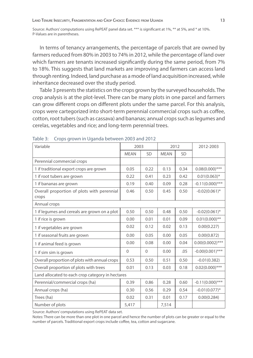Source: Authors' computations using RePEAT panel data set. \*\*\* is significant at 1%, \*\* at 5%, and \* at 10%. P-Values are in parentheses.

In terms of tenancy arrangements, the percentage of parcels that are owned by farmers reduced from 80% in 2003 to 74% in 2012, while the percentage of land over which farmers are tenants increased significantly during the same period, from 7% to 18%. This suggests that land markets are improving and farmers can access land through renting. Indeed, land purchase as a mode of land acquisition increased, while inheritance decreased over the study period.

Table 3 presents the statistics on the crops grown by the surveyed households. The crop analysis is at the plot-level. There can be many plots in one parcel and farmers can grow different crops on different plots under the same parcel. For this analysis, crops were cartegorized into short-term perennial commercial crops such as coffee, cotton, root tubers (such as cassava) and bananas; annual crops such as legumes and cerelas, vegetables and rice; and long-term perennial trees.

| Variable                                            | 2003           |              | 2012        |           | 2012-2003          |
|-----------------------------------------------------|----------------|--------------|-------------|-----------|--------------------|
|                                                     | <b>MEAN</b>    | SD           | <b>MEAN</b> | <b>SD</b> |                    |
| Perennial commercial crops                          |                |              |             |           |                    |
| 1 if traditional export crops are grown             | 0.05           | 0.22         | 0.13        | 0.34      | $0.08(0.000)$ ***  |
| 1 if root tubers are grown                          | 0.22           | 0.41         | 0.23        | 0.42      | $0.01(0.063)^{*}$  |
| 1 if bananas are grown                              | 0.19           | 0.40         | 0.09        | 0.28      | $-0.11(0.000)$ *** |
| Overall proportion of plots with perennial<br>crops | 0.46           | 0.50         | 0.45        | 0.50      | $-0.02(0.061)^{*}$ |
| Annual crops                                        |                |              |             |           |                    |
| 1 if legumes and cereals are grown on a plot        | 0.50           | 0.50         | 0.48        | 0.50      | $-0.02(0.061)$ *   |
| 1 if rice is grown                                  | 0.00           | 0.01         | 0.01        | 0.09      | $0.01(0.000)$ **   |
| 1 if vegetables are grown                           | 0.02           | 0.12         | 0.02        | 0.13      | 0.00(0.227)        |
| 1 if seasonal fruits are grown                      | 0.00           | 0.05         | 0.00        | 0.05      | 0.00(0.872)        |
| 1 if animal feed is grown                           | 0.00           | 0.08         | 0.00        | 0.04      | $0.00(0.0002)$ *** |
| 1 if sim sim is grown                               | $\overline{0}$ | $\mathbf{0}$ | 0.00        | .05       | $-0.00(0.001)$ *** |
| Overall proportion of plots with annual crops       | 0.53           | 0.50         | 0.51        | 0.50      | $-0.01(0.382)$     |
| Overall proportion of plots with trees              | 0.01           | 0.13         | 0.03        | 0.18      | $0.02(0.000)$ ***  |
| Land allocated to each crop category in hectares    |                |              |             |           |                    |
| Perennial/commercial crops (ha)                     | 0.39           | 0.86         | 0.28        | 0.60      | $-0.11(0.000)$ *** |
| Annual crops (ha)                                   | 0.30           | 0.56         | 0.29        | 0.54      | $-0.01(0.077)^*$   |
| Trees (ha)                                          | 0.02           | 0.31         | 0.01        | 0.17      | 0.00(0.284)        |
| Number of plots                                     | 5,417          |              | 7,514       |           |                    |

Table 3: Crops grown in Uganda between 2003 and 2012

Source: Authors' computations using RePEAT data set.

Notes: There can be more than one plot in one parcel and hence the number of plots can be greater or equal to the number of parcels. Traditional export crops include coffee, tea, cotton and sugarcane.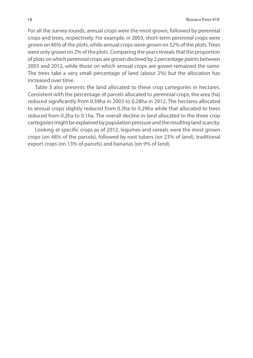For all the survey rounds, annual crops were the most grown, followed by perennial crops and trees, respectively. For example, in 2003, short-term perennial crops were grown on 46% of the plots, while annual crops were grown on 52% of the plots. Trees were only grown on 2% of the plots. Comparing the years reveals that the proportion of plots on which perennial crops are grown declined by 2 percentage points between 2003 and 2012, while those on which annual crops are grown remained the same. The trees take a very small percentage of land (about 2%) but the allocation has increased over time.

Table 3 also presents the land allocated to these crop cartegories in hectares. Consistent with the percentage of parcels allocated to perennial crops, the area (ha) reduced significantly from 0.39ha in 2003 to 0.28ha in 2012. The hectares allocated to annual crops slightly reduced from 0.3ha to 0.29ha while that allocated to trees reduced from 0.2ha to 0.1ha. The overall decline in land allocated to the three crop cartegories might be explained by population pressure and the resulting land scarcity.

Looking at specific crops as of 2012, legumes and cereals were the most grown crops (on 48% of the parcels), followed by root tubers (on 23% of land), traditional export crops (on 13% of parcels) and bananas (on 9% of land).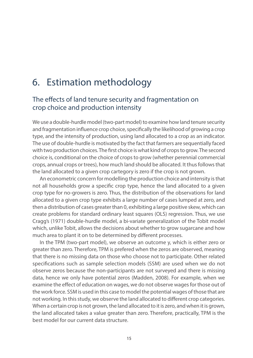## 6. Estimation methodology

#### The effects of land tenure security and fragmentation on crop choice and production intensity

We use a double-hurdle model (two-part model) to examine how land tenure security and fragmentation influence crop choice, specifically the likelihood of growing a crop type, and the intensity of production, using land allocated to a crop as an indicator. The use of double-hurdle is motivated by the fact that farmers are sequentially faced with two production choices. The first choice is what kind of crops to grow. The second choice is, conditional on the choice of crops to grow (whether perennial commercial crops, annual crops or trees), how much land should be allocated. It thus follows that the land allocated to a given crop cartegory is zero if the crop is not grown.

An econometric concern for modelling the production choice and intensity is that not all households grow a specific crop type, hence the land allocated to a given crop type for no-growers is zero. Thus, the distribution of the observations for land allocated to a given crop type exhibits a large number of cases lumped at zero, and then a distribution of cases greater than 0, exhibiting a large positive skew, which can create problems for standard ordinary least squares (OLS) regression. Thus, we use Cragg's (1971) double-hurdle model, a bi-variate generalization of the Tobit model which, unlike Tobit, allows the decisions about whether to grow sugarcane and how much area to plant it on to be determined by different processes.

In the TPM (two-part model), we observe an outcome y, which is either zero or greater than zero. Therefore, TPM is prefered when the zeros are observed, meaning that there is no missing data on those who choose not to participate. Other related specifications such as sample selection models (SSM) are used when we do not observe zeros because the non-participants are not surveyed and there is missing data, hence we only have potential zeros (Madden, 2008). For example, when we examine the effect of education on wages, we do not observe wages for those out of the work force. SSM is used in this case to model the potential wages of those that are not working. In this study, we observe the land allocated to different crop categories. When a certain crop is not grown, the land allocated to it is zero, and when it is grown, the land allocated takes a value greater than zero. Therefore, practically, TPM is the best model for our current data structure.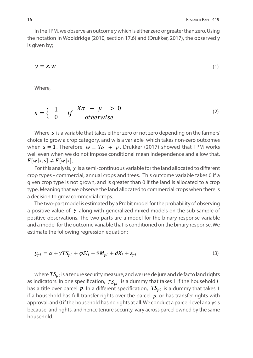In the TPM, we observe an outcome y which is either zero or greater than zero. Using the notation in Wooldridge (2010, section 17.6) and (Drukker, 2017), the observed y is given by;

$$
y = s \cdot w \tag{1}
$$

Where,

$$
s = \begin{cases} 1 & if \quad X\alpha + \mu > 0 \\ 0 & otherwise \end{cases}
$$
 (2)

Where,  $s$  is a variable that takes either zero or not zero depending on the farmers' choice to grow a crop category, and w is a variable which takes non-zero outcomes when  $s = 1$ . Therefore,  $w = X\alpha + \mu$ . Drukker (2017) showed that TPM works well even when we do not impose conditional mean independence and allow that,  $E[w|x, s] \neq E[w|x]$ .

For this analysis, y is a semi-continuous variable for the land allocated to different crop types - commercial, annual crops and trees. This outcome variable takes 0 if a given crop type is not grown, and is greater than 0 if the land is allocated to a crop type. Meaning that we observe the land allocated to commercial crops when there is a decision to grow commercial crops.

The two-part model is estimated by a Probit model for the probability of observing a positive value of y along with generalized mixed models on the sub-sample of positive observations. The two parts are a model for the binary response variable and a model for the outcome variable that is conditioned on the binary response. We estimate the following regression equation:

$$
y_{pi} = \alpha + \gamma TS_{pi} + \varphi SI_i + \vartheta M_{pi} + \partial X_i + \varepsilon_{pi}
$$
\n(3)

where  $TS_{ni}$  is a tenure security measure, and we use de jure and de facto land rights as indicators. In one specification,  $TS_{ni}$  is a dummy that takes 1 if the household i has a title over parcel p. In a different specification,  $TS_{pi}$  is a dummy that takes 1 if a household has full transfer rights over the parcel  $p$ , or has transfer rights with approval, and 0 if the household has no rights at all. We conduct a parcel-level analysis because land rights, and hence tenure security, vary across parcel owned by the same household.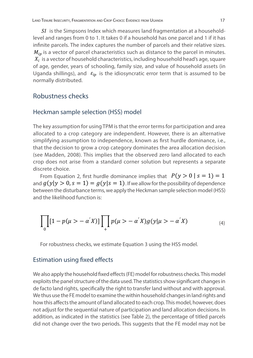$SI$  is the Simpsons Index which measures land fragmentation at a householdlevel and ranges from 0 to 1. It takes 0 if a household has one parcel and 1 if it has infinite parcels. The index captures the number of parcels and their relative sizes.  $M_{in}$  is a vector of parcel characteristics such as distance to the parcel in minutes.  $X_i$  is a vector of household characteristics, including household head's age, square of age, gender, years of schooling, family size, and value of household assets (in Uganda shillings), and  $\varepsilon_{ip}$  is the idiosyncratic error term that is assumed to be normally distributed.

#### Robustness checks

#### Heckman sample selection (HSS) model

The key assumption for using TPM is that the error terms for participation and area allocated to a crop category are independent. However, there is an alternative simplifying assumption to independence, known as first hurdle dominance, i.e., that the decision to grow a crop category dominates the area allocation decision (see Madden, 2008). This implies that the observed zero land allocated to each crop does not arise from a standard corner solution but represents a separate discrete choice.

From Equation 2, first hurdle dominance implies that  $P(y > 0 | s = 1) = 1$ and  $q(y|y > 0, s = 1) = q(y|s = 1)$ . If we allow for the possibility of dependence between the disturbance terms, we apply the Heckman sample selection model (HSS) and the likelihood function is:

$$
\prod_{0} [1 - p(\mu > -\alpha' X)] \prod_{+} p(\mu > -\alpha' X) g(y | \mu > -\alpha' X)
$$
\n(4)

For robustness checks, we estimate Equation 3 using the HSS model.

#### Estimation using fixed effects

We also apply the household fixed effects (FE) model for robustness checks. This model exploits the panel structure of the data used. The statistics show significant changes in de facto land rights, specifically the right to transfer land without and with approval. We thus use the FE model to examine the within household changes in land rights and how this affects the amount of land allocated to each crop. This model, however, does not adjust for the sequential nature of participation and land allocation decisions. In addition, as indicated in the statistics (see Table 2), the percentage of titled parcels did not change over the two periods. This suggests that the FE model may not be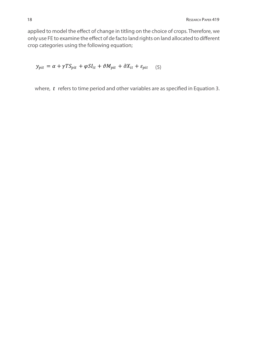applied to model the effect of change in titling on the choice of crops. Therefore, we only use FE to examine the effect of de facto land rights on land allocated to different crop categories using the following equation;

 $y_{pit} = \alpha + \gamma TS_{pit} + \varphi SI_{it} + \vartheta M_{pit} + \partial X_{it} + \varepsilon_{pit}$  (5)

where,  $t$  refers to time period and other variables are as specified in Equation 3.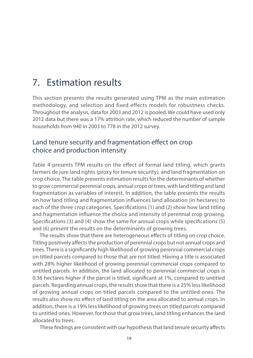## 7. Estimation results

This section presents the results generated using TPM as the main estimation methodology, and selection and fixed effects models for robustness checks. Throughout the analysis, data for 2003 and 2012 is pooled. We could have used only 2012 data but there was a 17% attrition rate, which reduced the number of sample households from 940 in 2003 to 778 in the 2012 survey.

#### Land tenure security and fragmentation effect on crop choice and production intensity

Table 4 presents TPM results on the effect of formal land titling, which grants farmers de jure land rights (proxy for tenure security), and land fragmentation on crop choice. The table presents estimation results for the determinants of whether to grow commercial perennial crops, annual crops or trees, with land titling and land fragmentation as variables of interest. In addition, the table presents the results on how land titling and fragmentation influences land allocation (in hectares) to each of the three crop categories. Specifications (1) and (2) show how land titling and fragmentation influence the choice and intensity of perennial crop growing. Specifications (3) and (4) show the same for annual crops while specifications (5) and (6) present the results on the determinants of growing trees.

The results show that there are heterogeneous effects of titling on crop choice. Titling positively affects the production of perennial crops but not annual crops and trees. There is a significantly high likelihood of growing perennial commercial crops on titled parcels compared to those that are not titled. Having a title is associated with 28% higher likelihood of growing perennial commercial crops compared to untitled parcels. In addition, the land allocated to perennial commercial crops is 0.36 hectares higher if the parcel is titled, significant at 1%, compared to untitled parcels. Regarding annual crops, the results show that there is a 25% less likelihood of growing annual crops on titled parcels compared to the untitled ones. The results also show no effect of land titling on the area allocated to annual crops. In addition, there is a 19% less likelihood of growing trees on titled parcels compared to untitled ones. However, for those that grow trees, land titling enhances the land allocated to trees.

These findings are consistent with our hypothesis that land tenure security affects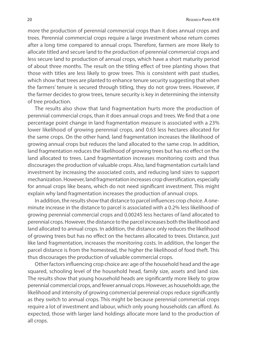more the production of perennial commercial crops than it does annual crops and trees. Perennial commercial crops require a large investment whose return comes after a long time compared to annual crops. Therefore, farmers are more likely to allocate titled and secure land to the production of perennial commercial crops and less secure land to production of annual crops, which have a short maturity period of about three months. The result on the titling effect of tree planting shows that those with titles are less likely to grow trees. This is consistent with past studies, which show that trees are planted to enhance tenure security suggesting that when the farmers' tenure is secured through titling, they do not grow trees. However, if the farmer decides to grow trees, tenure security is key in determining the intensity of tree production.

The results also show that land fragmentation hurts more the production of perennial commercial crops, than it does annual crops and trees. We find that a one percentage point change in land fragmentation measure is associated with a 23% lower likelihood of growing perennial crops, and 0.63 less hectares allocated for the same crops. On the other hand, land fragmentation increases the likelihood of growing annual crops but reduces the land allocated to the same crop. In addition, land fragmentation reduces the likelihood of growing trees but has no effect on the land allocated to trees. Land fragmentation increases monitoring costs and thus discourages the production of valuable crops. Also, land fragmentation curtails land investment by increasing the associated costs, and reducing land sizes to support mechanization. However, land fragmentation increases crop diversification, especially for annual crops like beans, which do not need significant investment. This might explain why land fragmentation increases the production of annual crops.

In addition, the results show that distance to parcel influences crop choice. A oneminute increase in the distance to parcel is associated with a 0.2% less likelihood of growing perennial commercial crops and 0.00245 less hectares of land allocated to perennial crops. However, the distance to the parcel increases both the likelihood and land allocated to annual crops. In addition, the distance only reduces the likelihood of growing trees but has no effect on the hectares allocated to trees. Distance, just like land fragmentation, increases the monitoring costs. In addition, the longer the parcel distance is from the homestead, the higher the likelihood of food theft. This thus discourages the production of valuable commercial crops.

Other factors influencing crop choice are: age of the household head and the age squared, schooling level of the household head, family size, assets and land size. The results show that young household heads are significantly more likely to grow perennial commercial crops, and fewer annual crops. However, as households age, the likelihood and intensity of growing commercial perennial crops reduce significantly as they switch to annual crops. This might be because perennial commercial crops require a lot of investment and labour, which only young households can afford. As expected, those with larger land holdings allocate more land to the production of all crops.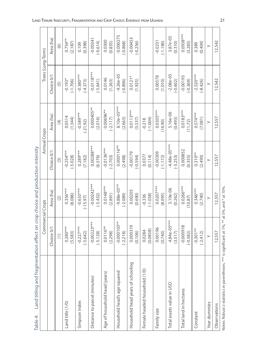| Table 4: Land titling and fragmentation effect on crop choice and production intensity      |                    |                          |                           |                        |                   |                |
|---------------------------------------------------------------------------------------------|--------------------|--------------------------|---------------------------|------------------------|-------------------|----------------|
|                                                                                             | Commercial Crops   |                          | Annual Crops              |                        | Trees (Long-Term) |                |
|                                                                                             | Choice 0/1         | Area (ha)                | Choice 0/1                | Area (ha)              | Choice 0/1        | Area (ha)      |
|                                                                                             | $\widehat{C}$      | $\widehat{(\mathbf{2})}$ | $\widehat{(\mathcal{Z})}$ | $\widehat{E}$          | $\widetilde{5}$   | $\circledcirc$ |
| Land title (1/0)                                                                            | $0.280***$         | $0.356***$               | $-0.254***$               | 0.0514                 | $-0.193*$         | $0.754**$      |
|                                                                                             | (5.583)            | (8.086)                  | $(-5.028)$                | (1.344)                | $(-1.706)$        | (2.187)        |
| Simpson Index                                                                               | $-0.227***$        | $-0.633***$              | $0.289***$                | $-0.589***$            | $-0.380***$       | (0.398)        |
|                                                                                             | $(-5.642)$         | $(-15.97)$               | (7.182)                   | $(-21.92)$             | $(-4.373)$        | 0.109          |
| Distance to parcel (minutes)                                                                | $-0.00223***$      | $-0.00242***$            | $0.00288***$              | $0.000405**$           | $-0.0118***$      | $-0.00341$     |
|                                                                                             | $(-5.128)$         | $(-5.432)$               | (6.576)                   | (2.016)                | $(-5.641)$        | $(-0.614)$     |
| Age of household head (years)                                                               | $0.0116**$         | $0.0148***$              | $-0.0136***$              | $-0.00696**$           | 0.0146            | 0.0300         |
|                                                                                             | (2.298)            | (2.891)                  | $(-2.703)$                | $(-2.117)$             | (1.263)           | (0.835)        |
| Household head's age squared                                                                | $-0.000103**$      | $-9.88e-05***$           | $0.000116***$             | 8.10e-05***            | $-9.26e - 05$     | $-0.000275$    |
|                                                                                             | $(-2.218)$         | $(-2.089)$               | (2.498)                   | (2.663)                | $(-0.896)$        | $(-0.868)$     |
| Household head years of schooling                                                           | 0.000319           | 0.00205                  | $-0.00179$                | $0.0113***$            | $0.0121*$         | $-0.00453$     |
|                                                                                             | (0.106)            | (0.690)                  | $(-0.594)$                | (5.537)                | (1.925)           | $(-0.256)$     |
| Female headed household (1/0)                                                               | (0.0858)<br>0.0284 | $(-1.058)$<br>$-0.336$   | 0.0377<br>(0.114)         | $(-1.004)$<br>$-0.218$ |                   |                |
| Family size                                                                                 | 0.00196            | $0.0207***$              | $-0.00309$                | $0.0305***$            | 0.00578           | $-0.0231$      |
|                                                                                             | (0.740)            | (8.095)                  | $(-1.172)$                | (16.90)                | (1.010)           | $(-1.186)$     |
| Total assets value in USD                                                                   | $4.84e-05***$      | $3.10e-06$               | $-4.48e-05***$            | 5.16e-06               | $-2.08e-05$       | $3.87e-05$     |
|                                                                                             | (3.517)            | (0.262)                  | $(-3.253)$                | (0.493)                | $(-0.602)$        | (0.310)        |
| Total land in hectares                                                                      | $-0.000918$        | $0.0266***$              | 0.000852                  | $0.0183***$            | $-0.00193$        | $0.0938***$    |
|                                                                                             | $(-0.382)$         | (10.87)                  | (0.355)                   | (11.72)                | $(-0.369)$        | (3.283)        |
| Constant                                                                                    | $-0.301**$         | $0.346***$               | $0.310**$                 | $0.574***$             | $-2.520***$       | (0.404)        |
|                                                                                             | $(-2.412)$         | (2.740)                  | (2.490)                   | (7.081)                | $(-8.426)$        | 0.389          |
| Year dummies                                                                                | $\geq$             | ≻                        | $\succ$                   |                        | ≻                 | ≻              |
| Observations                                                                                | 12,557             | 12,557                   | 12,557                    | 12,557                 | 12,542            | 12,542         |
| Notes: Robust z-statistics in parentheses. *** is significant at 1%, ** at 5%, and * at 10% |                    |                          |                           |                        |                   |                |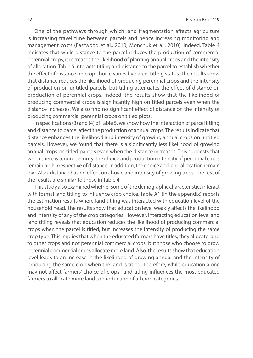One of the pathways through which land fragmentation affects agriculture is increasing travel time between parcels and hence increasing monitoring and management costs (Eastwood et al., 2010; Monchuk et al., 2010). Indeed, Table 4 indicates that while distance to the parcel reduces the production of commercial perennial crops, it increases the likelihood of planting annual crops and the intensity of allocation. Table 5 interacts titling and distance to the parcel to establish whether the effect of distance on crop choice varies by parcel titling status. The results show that distance reduces the likelihood of producing perennial crops and the intensity of production on untitled parcels, but titling attenuates the effect of distance on production of perennial crops. Indeed, the results show that the likelihood of producing commercial crops is significantly high on titled parcels even when the distance increases. We also find no significant effect of distance on the intensity of producing commercial perennial crops on titled plots.

In specifications (3) and (4) of Table 5, we show how the interaction of parcel titling and distance to parcel affect the production of annual crops. The results indicate that distance enhances the likelihood and intensity of growing annual crops on untitled parcels. However, we found that there is a significantly less likelihood of growing annual crops on titled parcels even when the distance increases. This suggests that when there is tenure security, the choice and production intensity of perennial crops remain high irrespective of distance. In addition, the choice and land allocation remain low. Also, distance has no effect on choice and intensity of growing trees. The rest of the results are similar to those in Table 4.

This study also examined whether some of the demographic characteristics interact with formal land titling to influence crop choice. Table A1 (in the appendix) reports the estimation results where land titling was interacted with education level of the household head. The results show that education level weakly affects the likelihood and intensity of any of the crop categories. However, interacting education level and land titling reveals that education reduces the likelihood of producing commercial crops when the parcel is titled, but increases the intensity of producing the same crop type. This implies that when the educated farmers have titles, they allocate land to other crops and not perennial commercial crops; but those who choose to grow perennial commercial crops allocate more land. Also, the results show that education level leads to an increase in the likelihood of growing annual and the intensity of producing the same crop when the land is titled. Therefore, while education alone may not affect farmers' choice of crops, land titling influences the most educated farmers to allocate more land to production of all crop categories.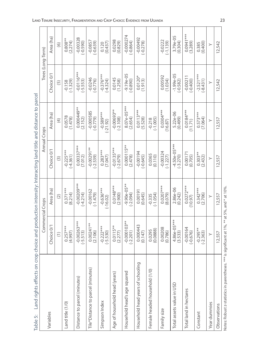|                                                                                                                     | Trees (Long-Term) | Area (ha)  | $\widehat{\circ}$        | $0.808**$<br>(2.274)    | $-0.00328$<br>$-0.590$       | $-0.0857$<br>$(-0.639)$           | $\frac{0.120}{(0.437)}$   | (6.829)                       | $-0.000274$<br>$(-0.864)$    | $-0.00492$<br>$(-0.278)$          |                               | $-0.0222$<br>$(-1.139)$  | 3.79e-05<br>(0.304)        | $0.0941***$<br>(3.289)   | (0.400)<br>0.385          | $\succ$      | 12,542       |
|---------------------------------------------------------------------------------------------------------------------|-------------------|------------|--------------------------|-------------------------|------------------------------|-----------------------------------|---------------------------|-------------------------------|------------------------------|-----------------------------------|-------------------------------|--------------------------|----------------------------|--------------------------|---------------------------|--------------|--------------|
|                                                                                                                     |                   | Choice 0/1 | 6)                       | $(-1.329)$<br>$-0.158$  | $-0.0116***$<br>$(-5.553)$   | $-0.0246$<br>$-0.776$             | $-0.376***$<br>$-4.324$   | 0.0145                        | $-9.19e-05$<br>$(-0.890)$    | $0.0120*$<br>(1.913)              |                               | 0.00592<br>(1.034)       | $-1.99e-05$<br>$(-0.582)$  | $-0.00211$<br>$(-0.400)$ | $-2.521***$<br>$(-8.431)$ | $\succ$      | 12,542       |
|                                                                                                                     |                   | Area (ha)  | $\widehat{E}$            | 0.0578<br>(1.478)       | 0.000449**<br>(2.152)        | $-0.000585$<br>$(-0.779)$         | $-0.589***$<br>$(-21.92)$ | $-0.00693**$<br>$(-2.108)$    | $8.07e-05***$<br>(2.654)     | $0.0113***$<br>(5.528)            | $-0.218$<br>$(-1.005)$        | $0.0304***$<br>(16.87)   | 5.22e-06<br>(0.499)        | $0.0184***$<br>(11.71)   | $0.573***$<br>(7.064)     | $\succ$      | 12,557       |
|                                                                                                                     | Annual Crops      | Choice 0/1 | $\widehat{\mathbb{C}}$   | $-0.225***$<br>$-4.361$ | $0.00337***$<br>(7.012)      | $-0.00291**$<br>$(-2.539)$        | $0.283***$<br>(7.047)     | $-0.0135***$<br>$(-2.679)$    | $0.000115***$<br>(2.478)     | $-0.00194$<br>$-0.645$ )          | 0.0365<br>(0.110)             | $-0.00324$<br>$(-1.227)$ | $-4.50e-05***$<br>(-3.270) | 0.00171<br>(0.705)       | $0.303**$<br>(2.432)      | $\succ$      | 12,557       |
|                                                                                                                     |                   | Area (ha)  | $\widehat{(\mathbf{2})}$ | $0.371***$<br>(8.214)   | $-0.00209***$<br>$-4.214$    | $-0.00162$<br>$(-1.479)$          | $-0.636***$<br>$(-16.02)$ | $0.0148***$<br>(2.900)        | $-9.90e-05***$<br>$(-2.094)$ | (6.645)                           | $(-1.054)$<br>$-0.335$        | $0.0207***$<br>(8.079)   | 2.86e-06<br>(0.242)        | $0.0272***$<br>(10.97)   | $0.342***$<br>(2.706)     | $\succ$      | 12,557       |
|                                                                                                                     | Commercial Crops  | Choice 0/1 | $\widehat{E}$            | $0.257***$<br>(4.997)   | $-0.00263***$<br>$(-5.513)$  | $0.00241**$<br>(2.106)            | $-0.222***$<br>$(-5.530)$ | $0.0115**$<br>(2.277)         | $-0.000103***$<br>$(-2.201)$ | 0.000443<br>(0.147)               | (0.0888)<br>0.0295            | $0.00208$<br>$(0.786)$   | 4.86e-05***<br>(3.533)     | $-0.00164$<br>$(-0.676)$ | $-0.295**$<br>$(-2.363)$  | $\succ$      | 12,557       |
| Table 5: Land rights effects on crop choice and production intensity: Interacting land title and distance to parcel |                   | Variables  |                          | Land title (1/0)        | Distance to parcel (minutes) | Tile*Distance to parcel (minutes) | Simpson Index             | Age of household head (years) | Household head's age squared | Household head years of schooling | Female headed household (1/0) | Family size              | Total assets value in USD  | Total land in hectares   | Constant                  | Year dummies | Observations |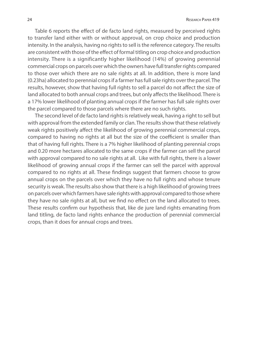Table 6 reports the effect of de facto land rights, measured by perceived rights to transfer land either with or without approval, on crop choice and production intensity. In the analysis, having no rights to sell is the reference category. The results are consistent with those of the effect of formal titling on crop choice and production intensity. There is a significantly higher likelihood (14%) of growing perennial commercial crops on parcels over which the owners have full transfer rights compared to those over which there are no sale rights at all. In addition, there is more land (0.23ha) allocated to perennial crops if a farmer has full sale rights over the parcel. The results, however, show that having full rights to sell a parcel do not affect the size of land allocated to both annual crops and trees, but only affects the likelihood. There is a 17% lower likelihood of planting annual crops if the farmer has full sale rights over the parcel compared to those parcels where there are no such rights.

The second level of de facto land rights is relatively weak, having a right to sell but with approval from the extended family or clan. The results show that these relatively weak rights positively affect the likelihood of growing perennial commercial crops, compared to having no rights at all but the size of the coefficient is smaller than that of having full rights. There is a 7% higher likelihood of planting perennial crops and 0.20 more hectares allocated to the same crops if the farmer can sell the parcel with approval compared to no sale rights at all. Like with full rights, there is a lower likelihood of growing annual crops if the farmer can sell the parcel with approval compared to no rights at all. These findings suggest that farmers choose to grow annual crops on the parcels over which they have no full rights and whose tenure security is weak. The results also show that there is a high likelihood of growing trees on parcels over which farmers have sale rights with approval compared to those where they have no sale rights at all, but we find no effect on the land allocated to trees. These results confirm our hypothesis that, like de jure land rights emanating from land titling, de facto land rights enhance the production of perennial commercial crops, than it does for annual crops and trees.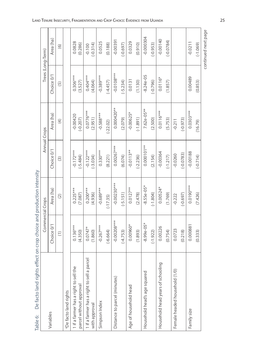| De facto land rights effect<br>Table 6:    | on crop choice and production intensity        |                  |                   |                         |                |                   |
|--------------------------------------------|------------------------------------------------|------------------|-------------------|-------------------------|----------------|-------------------|
|                                            |                                                | Commercial Crops |                   | Annual Crops            |                | Trees (Long-Term) |
| Variables                                  | Choice 0/1                                     | Area (ha)        | Choice 0/1        | Area (ha)               | Choice 0/1     | Area (ha)         |
|                                            | $\left( \begin{matrix} 1 \end{matrix} \right)$ | $\odot$          | $\widehat{\odot}$ | $\widehat{\mathcal{F}}$ | $\overline{5}$ | $\odot$           |
| aDe facto land rights                      |                                                |                  |                   |                         |                |                   |
| 1 if a farmer has a right to sell the      | $0.136***$                                     | $0.225***$       | $-0.172***$       | $-0.00420$              | $0.306***$     | 0.0828            |
| parcel without approval                    | (4.350)                                        | (7.087)          | $(-5.484)$        | $(-0.207)$              | (3.527)        | (0.286)           |
| 1 if a farmer has a right to sell a parcel | $0.0747*$                                      | $0.200***$       | $-0.122***$       | $0.0776***$             | $0.404***$     | $-0.100$          |
| with approval                              | (1.860)                                        | (4.936)          | $(-3.034)$        | (2.951)                 | (4.064)        | $(-0.314)$        |
| Simpson Index                              | $-0.267***$                                    | $-0.689***$      | $0.330***$        | $-0.588***$             | $-0.389***$    | 0.0525            |
|                                            | $(-6.664)$                                     | $(-17.35)$       | (8.221)           | $(-22.02)$              | $(-4.457)$     | (0.188)           |
| Distance to parcel (minutes)               | $-0.00208***$                                  | $-0.00230**$     | $0.00267***$      | $0.000420**$            | $-0.0108***$   | $-0.00391$        |
|                                            | $(-4.753)$                                     | $(-5.151)$       | (6.074)           | (2.079)                 | $(-5.234)$     | $(-0.697)$        |
| Age of household head                      | $0.00960*$                                     | $0.0127**$       | $-0.0113**$       | $-0.00625$ *            | 0.0131         | 0.0329            |
|                                            | (1.893)                                        | (2.478)          | $(-2.236)$        | $(-1.891)$              | (1.130)        | (0.910)           |
| Household head's age squared               | $-8.99e-05*$                                   | $-8.55e-05*$     | $0.000101**$      | $7.62e-05***$           | $-8.24e-05$    | $-0.000304$       |
|                                            | $(-1.922)$                                     | $(-1.804)$       | (2.154)           | (2.500)                 | $(-0.796)$     | $(-0.953)$        |
| Household head years of schooling          | 0.00226                                        | $0.00524*$       | $-0.00364$        | $0.0116***$             | $0.0116*$      | $-0.00140$        |
|                                            | (0.754)                                        | (1.769)          | $(-1.217)$        | (5.753)                 | (1.857)        | $(-0.0784)$       |
| Female headed household (1/0)              | 0.0723                                         | $-0.222$         | $-0.0260$         | $-0.211$                |                |                   |
|                                            | (0.218)                                        | $(-0.697)$       | $(-0.0783)$       | $(-0.973)$              |                |                   |
| Family size                                | 0.000881                                       | $0.0190***$      | $-0.00188$        | $0.0303***$             | 0.00489        | $-0.0211$         |
|                                            | (0.333)                                        | (7.426)          | $(-0.714)$        | (16.79)                 | (0.853)        | $(-1.069)$        |

continued next page continued next page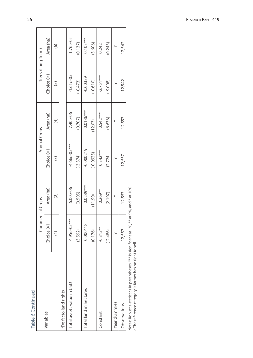| ļ            |  |
|--------------|--|
|              |  |
| п.<br>Ć<br>ī |  |

|                                                                                                             | Commercial Crops                                  |               | Annual Crops            |                | Trees (Long-Term) |            |
|-------------------------------------------------------------------------------------------------------------|---------------------------------------------------|---------------|-------------------------|----------------|-------------------|------------|
| Variables                                                                                                   | Choice 0/1                                        | Area (ha)     | Choice 0/1              | Area (ha)      | Choice 0/1        | Area (ha)  |
|                                                                                                             | $\widehat{E}$                                     | $\widehat{c}$ | $\widehat{\mathcal{C}}$ | $\overline{4}$ | $\widetilde{5}$   | $\odot$    |
| aDe facto land rights                                                                                       |                                                   |               |                         |                |                   |            |
| Total assets value in USD                                                                                   | 4.95e-05***                                       | $6.00e - 06$  | $-4.66e-05***$          | 7.40e-06       | $-1.61e-05$       | $1.76e-05$ |
|                                                                                                             | (3.592)                                           | (0.505)       | $(-3.374)$              | (0.707)        | $(-0.473)$        | (0.137)    |
| Total land in hectares                                                                                      | 0.000418                                          | $0.0289***$   | $-0.000219$             | $0.0186***$    | $-0.00339$        | $0.103***$ |
|                                                                                                             | (0.176)                                           | (11.90)       | $(-0.0925)$             | (12.03)        | $(-0.610)$        | (3.606)    |
| Constant                                                                                                    | $-0.313**$                                        | $0.269**$     | $0.342***$              | $0.542***$     | $-2.751***$       | 0.242      |
|                                                                                                             | $(-2.486)$                                        | (2.107)       | (2.724)                 | (6.636)        | $(-9.008)$        | (0.243)    |
| Year dummies                                                                                                | $\geq$                                            | ≻             | $\geq$                  | ≻              |                   | ≻          |
| Observations                                                                                                | 12,557                                            | 12,557        | 12,557                  | 12,557         | 12,542            | 12,542     |
| a The reference category is farmer has no right to sell.<br>Notes: Robust z-statistics in parentheses. **** | is significant at 1%, $**$ at 5%, and $*$ at 10%. |               |                         |                |                   |            |

Research Paper 419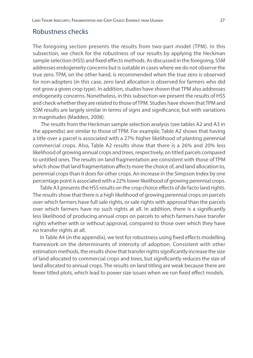#### Robustness checks

The foregoing section presents the results from two-part model (TPM). In this subsection, we check for the robustness of our results by applying the Heckman sample selection (HSS) and fixed effects methods. As discussed in the foregoing, SSM addresses endogeneity concerns but is suitable in cases where we do not observe the true zero. TPM, on the other hand, is recommended when the true zero is observed for non-adopters (in this case, zero land allocation is observed for farmers who did not grow a given crop type). In addition, studies have shown that TPM also addresses endogeneity concerns. Nonetheless, in this subsection we present the results of HSS and check whether they are related to those of TPM. Studies have shown that TPM and SSM results are largely similar in terms of signs and significance, but with variations in magnitudes (Madden, 2008).

 The results from the Heckman sample selection analysis (see tables A2 and A3 in the appendix) are similar to those of TPM. For example, Table A2 shows that having a title over a parcel is associated with a 27% higher likelihood of planting perennial commercial crops. Also, Table A2 results show that there is a 26% and 20% less likelihood of growing annual crops and trees, respectively, on titled parcels compared to untitled ones. The results on land fragmentation are consistent with those of TPM which show that land fragmentation affects more the choice of, and land allocation to, perennial crops than it does for other crops. An increase in the Simpson Index by one percentage point is associated with a 22% lower likelihood of growing perennial crops.

Table A3 presents the HSS results on the crop choice effects of de facto land rights. The results show that there is a high likelihood of growing perennial crops on parcels over which farmers have full sale rights, or sale rights with approval than the parcels over which farmers have no such rights at all. In addition, there is a significantly less likelihood of producing annual crops on parcels to which farmers have transfer rights whether with or without approval, compared to those over which they have no transfer rights at all.

In Table A4 (in the appendix), we test for robustness using fixed effects modelling framework on the determinants of intensity of adoption. Consistent with other estimation methods, the results show that transfer rights significantly increase the size of land allocated to commercial crops and trees, but significantly reduces the size of land allocated to annual crops. The results on land titling are weak because there are fewer titled plots, which lead to power size issues when we run fixed effect models.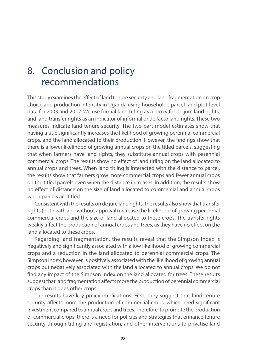## 8. Conclusion and policy recommendations

This study examines the effect of land tenure security and land fragmentation on crop choice and production intensity in Uganda using household-, parcel- and plot-level data for 2003 and 2012. We use formal land titling as a proxy for de jure land rights, and land transfer rights as an indicator of informal or de facto land rights. These two measures indicate land tenure security. The two-part model estimates show that having a title significantly increases the likelihood of growing perennial commercial crops, and the land allocated to their production. However, the findings show that there is a lower likelihood of growing annual crops on the titled parcels, suggesting that when farmers have land rights, they substitute annual crops with perennial commercial crops. The results show no effect of land titling on the land allocated to annual crops and trees. When land titling is interacted with the distance to parcel, the results show that farmers grow more commercial crops and fewer annual crops on the titled parcels even when the distance increases. In addition, the results show no effect of distance on the size of land allocated to commercial and annual crops when parcels are titled.

Consistent with the results on de jure land rights, the results also show that transfer rights (both with and without approval) increase the likelihood of growing perennial commercial crops and the size of land allocated to these crops. The transfer rights weakly affect the production of annual crops and trees, as they have no effect on the land allocated to these crops.

Regarding land fragmentation, the results reveal that the Simpson Index is negatively and significantly associated with a low likelihood of growing commercial crops and a reduction in the land allocated to perennial commercial crops. The Simpson Index, however, is positively associated with the likelihood of growing annual crops but negatively associated with the land allocated to annual crops. We do not find any impact of the Simpson Index on the land allocated for trees. These results suggest that land fragmentation affects more the production of perennial commercial crops than it does other crops.

The results have key policy implications. First, they suggest that land tenure security affects more the production of commercial crops, which need significant investment compared to annual crops and trees. Therefore, to promote the production of commercial crops, there is a need for policies and strategies that enhance tenure security through titling and registration, and other interventions to privatise land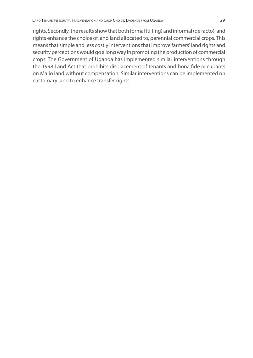rights. Secondly, the results show that both formal (tilting) and informal (de facto) land rights enhance the choice of, and land allocated to, perennial commercial crops. This means that simple and less costly interventions that improve farmers' land rights and security perceptions would go a long way in promoting the production of commercial crops. The Government of Uganda has implemented similar interventions through the 1998 Land Act that prohibits displacement of tenants and bona fide occupants on Mailo land without compensation. Similar interventions can be implemented on customary land to enhance transfer rights.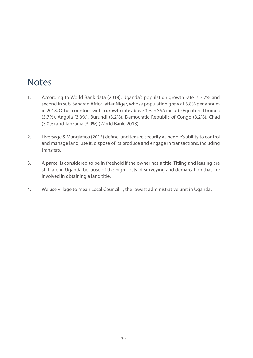## **Notes**

- 1. According to World Bank data (2018), Uganda's population growth rate is 3.7% and second in sub-Saharan Africa, after Niger, whose population grew at 3.8% per annum in 2018. Other countries with a growth rate above 3% in SSA include Equatorial Guinea (3.7%), Angola (3.3%), Burundi (3.2%), Democratic Republic of Congo (3.2%), Chad (3.0%) and Tanzania (3.0%) (World Bank, 2018).
- 2. Liversage & Mangiafico (2015) define land tenure security as people's ability to control and manage land, use it, dispose of its produce and engage in transactions, including transfers.
- 3. A parcel is considered to be in freehold if the owner has a title. Titling and leasing are still rare in Uganda because of the high costs of surveying and demarcation that are involved in obtaining a land title.
- 4. We use village to mean Local Council 1, the lowest administrative unit in Uganda.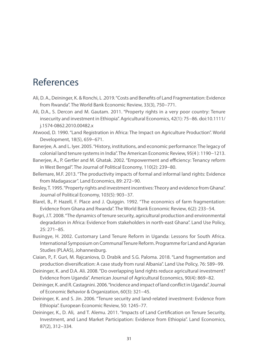## References

- Ali, D. A., Deininger, K. & Ronchi, L .2019. "Costs and Benefits of Land Fragmentation: Evidence from Rwanda". The World Bank Economic Review, 33(3), 750−771.
- Ali, D.A., S. Dercon and M. Gautam. 2011. "Property rights in a very poor country: Tenure insecurity and investment in Ethiopia". Agricultural Economics, 42(1): 75−86. doi:10.1111/ j.1574-0862.2010.00482.x
- Atwood, D. 1990. "Land Registration in Africa: The Impact on Agriculture Production". World Development, 18(5), 659−671.
- Banerjee, A. and L. Iyer. 2005. "History, institutions, and economic performance: The legacy of colonial land tenure systems in India". The American Economic Review, 95(4 ): 1190−1213.
- Banerjee, A., P. Gertler and M. Ghatak. 2002. "Empowerment and efficiency: Tenancy reform in West Bengal". The Journal of Political Economy, 110(2): 239−80.
- Bellemare, M.F. 2013. "The productivity impacts of formal and informal land rights: Evidence from Madagascar". Land Economics, 89: 272−90.
- Besley, T. 1995. "Property rights and investment incentives: Theory and evidence from Ghana". Journal of Political Economy, 103(5): 903−37.
- Blarel, B., P. Hazell, F. Place and J. Quiggin. 1992. "The economics of farm fragmentation: Evidence from Ghana and Rwanda". The World Bank Economic Review, 6(2): 233−54.
- Bugri, J.T. 2008. "The dynamics of tenure security, agricultural production and environmental degradation in Africa: Evidence from stakeholders in north-east Ghana". Land Use Policy, 25: 271−85.
- Busingye, H. 2002. Customary Land Tenure Reform in Uganda: Lessons for South Africa. International Symposium on Communal Tenure Reform. Programme for Land and Agrarian Studies (PLAAS), Johannesburg.
- Ciaian, P., F. Guri, M. Rajcaniova, D. Drabik and S.G. Paloma. 2018. "Land fragmentation and production diversification: A case study from rural Albania". Land Use Policy, 76: 589−99.
- Deininger, K. and D.A. Ali. 2008. "Do overlapping land rights reduce agricultural investment? Evidence from Uganda". American Journal of Agricultural Economics, 90(4): 869−82.
- Deininger, K. and R. Castagnini. 2006. "Incidence and impact of land conflict in Uganda". Journal of Economic Behavior & Organization, 60(3): 321−45.
- Deininger, K. and S. Jin. 2006. "Tenure security and land-related investment: Evidence from Ethiopia". European Economic Review, 50: 1245–77.
- Deininger, K., D. Ali, and T. Alemu. 2011. "Impacts of Land Certification on Tenure Security, Investment, and Land Market Participation: Evidence from Ethiopia". Land Economics, 87(2), 312−334.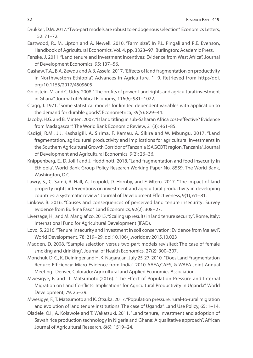- Drukker, D.M. 2017. "Two-part models are robust to endogenous selection". Economics Letters, 152: 71–72.
- Eastwood, R., M. Lipton and A. Newell. 2010. "Farm size". In P.L. Pingali and R.E. Evenson, Handbook of Agricultural Economics, Vol. 4, pp. 3323−97. Burlington: Academic Press.
- Fenske, J. 2011. "Land tenure and investment incentives: Evidence from West Africa". Journal of Development Economics, 95: 137−56.
- Gashaw, T.A., B.A. Zewdu and A.B. Assefa. 2017. "Effects of land fragmentation on productivity in Northwestern Ethiopia". Advances in Agriculture, 1−9. Retrieved from https/doi. org/10.1155/2017/4509605
- Goldstein, M. and C. Udry. 2008. "The profits of power: Land rights and agricultural investment in Ghana". Journal of Political Economy, 116(6): 981−1022.
- Cragg, J. 1971. "Some statistical models for limited dependent variables with application to the demand for durable goods". Econometrica, 39(5): 829−44.
- Jacoby, H.G. and B. Minten. 2007. "Is land titling in sub-Saharan Africa cost-effective? Evidence from Madagascar". The World Bank Economic Review, 21(3): 461–85.
- Kadigi, R.M., J.J. Kashaigili, A. Sirima, F. Kamau, A. Sikira and W. Mbungu. 2017. "Land fragmentation, agricultural productivity and implications for agricultural investments in the Southern Agricultural Growth Corridor of Tanzania (SAGCOT) region, Tanzania". Journal of Development and Agricultural Economics, 9(2): 26−36.
- Knippenberg, E., D. Jollif and J. Hoddinott. 2018. "Land fragmentation and food insecurity in Ethiopia". World Bank Group Policy Research Working Paper No. 8559. The World Bank, Washington, D.C.
- Lawry, S., C. Samii, R. Hall, A. Leopold, D. Hornby, and F. Mtero. 2017. "The impact of land property rights interventions on investment and agricultural productivity in developing countries: a systematic review". Journal of Development Effectiveness, 9(1), 61−81.
- Linkow, B. 2016. "Causes and consequences of perceived land tenure insecurity: Survey evidence from Burkina Faso". Land Economics, 92(2): 308−27.
- Liversage, H., and M. Mangiafico. 2015. "Scaling up results in land tenure security". Rome, Italy: International Fund for Agricultural Development (IFAD).
- Lovo, S. 2016. "Tenure insecurity and investment in soil conservation: Evidence from Malawi". World Development, 78: 219−29. doi:10.106/j.worlddev.2015.10.023
- Madden, D. 2008. "Sample selection versus two-part models revisited: The case of female smoking and drinking". Journal of Health Economics, 27(2): 300–307.
- Monchuk, D. C., K. Deininger and H. K. Nagarajan, July 25-27, 2010 . "Does Land Fragmentation Reduce Efficiency: Micro Evidence from India". 2010 AAEA,CAES, & WAEA Joint Annual Meeting . Denver, Colorado: Agricultural and Applied Economics Association.
- Mwesigye, F. and T. Matsumoto.(2016). "The Effect of Population Pressure and Internal Migration on Land Conflicts: Implications for Agricultural Productivity in Uganda". World Development, 79, 25−39.
- Mwesigye, F., T. Matsumoto and K. Otsuka. 2017. "Population pressure, rural-to-rural migration and evolution of land tenure institutions: The case of Uganda". Land Use Policy, 65: 1−14.
- Oladele, O.I., A. Kolawole and T. Wakatsuki. 2011. "Land tenure, investment and adoption of Sawah rice production technology in Nigeria and Ghana: A qualitative approach". African Journal of Agricultural Research, 6(6): 1519−24.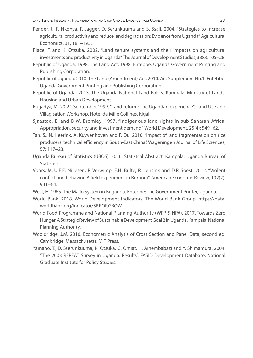- Pender, J., F. Nkonya, P. Jagger, D. Serunkuuma and S. Ssali. 2004. "Strategies to increase agricultural productivity and reduce land degradation: Evidence from Uganda". Agricultural Economics, 31, 181−195.
- Place, F. and K. Otsuka. 2002. "Land tenure systems and their impacts on agricultural investments and productivity in Uganda". The Journal of Development Studies, 38(6): 105−28.
- Republic of Uganda. 1998. The Land Act, 1998. Entebbe: Uganda Government Printing and Publishing Corporation.
- Republic of Uganda. 2010. The Land (Amendment) Act, 2010. Act Supplement No.1. Entebbe: Uganda Government Printing and Publishing Corporation.
- Republic of Uganda. 2013. The Uganda National Land Policy. Kampala: Ministry of Lands, Housing and Urban Development.
- Rugadya, M. 20-21 September,1999. "Land reform: The Ugandan experience". Land Use and Villagisation Workshop. Hotel de Mille Collines. Kigali
- Sjaastad, E. and D.W. Bromley. 1997. "Indigenous land rights in sub-Saharan Africa: Appropriation, security and investment demand". World Development, 25(4): 549−62.
- Tan, S., N. Heerink, A. Kuyvenhoven and F. Qu. 2010. "Impact of land fragmentation on rice producers' technical efficiency in South-East China". Wageningen Journal of Life Sciences, 57: 117−23.
- Uganda Bureau of Statistics (UBOS). 2016. Statistcal Abstract. Kampala: Uganda Bureau of Statistics.
- Voors, M.J., E.E. Nillesen, P. Verwimp, E.H. Bulte, R. Lensink and D.P. Soest. 2012. "Violent conflict and behavior: A field experiment in Burundi". American Economic Review, 102(2): 941−64.
- West, H. 1965. The Mailo System in Buganda. Entebbe: The Government Printer, Uganda.
- World Bank. 2018. World Development Indicators. The World Bank Group. https://data. worldbank.org/indicator/SP.POP.GROW.
- World Food Programme and National Planning Authority (WFP & NPA). 2017. Towards Zero Hunger. A Strategic Review of Sustainable Development Goal 2 in Uganda. Kampala: National Planning Authority.
- Wooldridge, J.M. 2010. Econometric Analysis of Cross Section and Panel Data, second ed. Cambridge, Massachusetts: MIT Press.
- Yamano, T., D. Sserunkuuma, K. Otsuka, G. Omiat, H. Ainembabazi and Y. Shimamura. 2004. "The 2003 REPEAT Survey in Uganda: Results". FASID Development Database, National Graduate Institute for Policy Studies.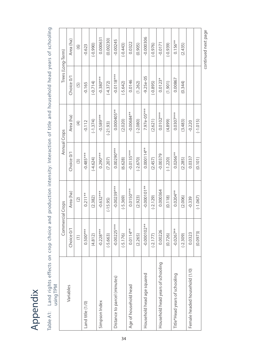# Appendix

Table A1: Land rights effects on crop choice and production intensity: Interaction of title and household head years of schooling Table A1: Land rights effects on crop choice and production intensity: Interaction of title and household head years of schooling<br>using TPM

|                                   | Commercial Crops                                |               | Annual Crops            |               | Trees (Long-Term) |             |
|-----------------------------------|-------------------------------------------------|---------------|-------------------------|---------------|-------------------|-------------|
| Variables                         | Choice 0/1                                      | Area (ha)     | Choice 0/1              | Area (ha)     | Choice 0/1        | Area (ha)   |
|                                   | $\left( \begin{array}{c} 1 \end{array} \right)$ | $\widehat{C}$ | $\widehat{\mathcal{C}}$ | $\widehat{E}$ | $\overline{5}$    | $\odot$     |
| Land title (1/0)                  | $0.500***$                                      | $0.211**$     | $-0.485***$             | $-0.112$      | $-0.165$          | $-0.623$    |
|                                   | (4.812)                                         | (2.382)       | $(-4.624)$              | $(-1.374)$    | $(-0.714)$        | $(-0.990)$  |
| Simpson Index                     | $-0.228***$                                     | $-0.632***$   | $0.290***$              | $-0.589***$   | $-0.380***$       | 0.000631    |
|                                   | $(-5.663)$                                      | $(-15.95)$    | (7.207)                 | $(-21.93)$    | $(-4.372)$        | (0.00230)   |
| Distance to parcel (minutes)      | $-0.00225***$                                   | $-0.00239***$ | $0.00290***$            | $0.000405**$  | $-0.0118***$      | $-0.00245$  |
|                                   | $(-5.176)$                                      | $(-5.369)$    | (6.628)                 | (2.020)       | $(-5.642)$        | $(-0.443)$  |
| Age of household head             | $0.0114**$                                      | $0.0150***$   | $-0.0135***$            | $-0.00684**$  | 0.0146            | 0.0322      |
|                                   | (2.265)                                         | (2.923)       | $(-2.670)$              | $(-2.080)$    | (1.262)           | (0.905)     |
| Household head age squared        | $-0.000102***$                                  | $-0.000101**$ | $0.000114**$            | 7.97e-05***   | $-9.25e-05$       | $-0.000306$ |
|                                   | $(-2.177)$                                      | $(-2.129)$    | (2.457)                 | (2.621)       | $(-0.895)$        | $(-0.976)$  |
| Household head years of schooling | 0.00226                                         | 0.000364      | $-0.00379$              | $0.0102***$   | $0.0123*$         | $-0.0171$   |
|                                   | (0.726)                                         | (0.118)       | $(-1.220)$              | (4.899)       | (1.901)           | $(-0.939)$  |
| Title*Head years of schooling     | $-0.0267**$                                     | $0.0204**$    | $0.0266***$             | $0.0307***$   | 0.00867           | $0.156**$   |
|                                   | $(-2.309)$                                      | (2.006)       | (2.285)                 | (3.483)       | (0.344)           | (2.435)     |
| Female headed household (1/0)     | 0.0323                                          | $-0.339$      | 0.0337                  | $-0.220$      |                   |             |
|                                   | (0.0973)                                        | $(-1.067)$    | (0.101)                 | $(-1.015)$    |                   |             |
|                                   |                                                 |               |                         |               |                   |             |

continued next page continued next page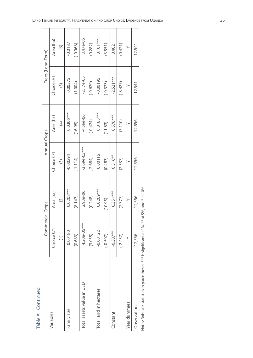| Table A1 Continued        |                  |                           |                |                   |                      |            |
|---------------------------|------------------|---------------------------|----------------|-------------------|----------------------|------------|
|                           | Commercial Crops |                           | Annual Crops   |                   | Trees (Long-Term)    |            |
| Variables                 | Choice 0/1       | Area (ha)                 | Choice 0/1     | Area (ha)         | Choice 0/1           | Area (ha)  |
|                           | $\widehat{E}$    | $\widehat{(\mathcal{Z})}$ | $\odot$        | $\left( 4\right)$ | $\widetilde{\Theta}$ | $\odot$    |
| Family size               | 0.00180          | $0.0208***$               | $-0.00294$     | $0.0306***$       | 0.00575              | $-0.0187$  |
|                           | (0.683)          | (8.147)                   | $(-1.114)$     | (16.95)           | (1.004)              | $(-0.968)$ |
| Total assets value in USD | $4.20e-05***$    | $2.93e-06$                | $-3.69e-05***$ | $-4.59e - 06$     | $-2.17e-05$          | 3.47e-05   |
|                           | (3.055)          | (0.248)                   | $(-2.684)$     | $(-0.424)$        | $(-0.629)$           | (0.282)    |
| Total land in hectares    | $-0.00122$       | $0.0269***$               | 0.00116        | $0.0185***$       | $-0.00195$           | $0.101***$ |
|                           | $(-0.507)$       | (10.95)                   | (0.483)        | (11.83)           | $(-0.373)$           | (3.551)    |
| Constant                  | $-0.307**$       | $0.351***$                | $0.316**$      | $0.576***$        | $-2.521***$          | 0.402      |
|                           | $(-2.457)$       | (2.777)                   | (2.537)        | (7.110)           | $(-8.427)$           | (0.421)    |
| Year dummies              | >                | >                         | ≻              | >                 | >                    | ≻          |
| Observations              | 12,556           | 12,556                    | 12,556         | 12,556            | 12,541               | 12,541     |
|                           |                  |                           |                |                   |                      |            |

Notes: Robust z-statistics in parentheses. \*\*\* is significant at 1%, \*\* at 5%, and \* at 10%. Notes: Robust z-statistics in parentheses. \*\*\* is significant at 1%, \*\* at 5%, and \* at 10%.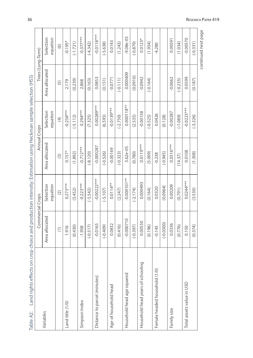| Land rights effects on cr<br>Table A2: | op choice and production intensity: Estimation using Heckman sample selection (HSS) |                       |                        |                       |                   |                       |
|----------------------------------------|-------------------------------------------------------------------------------------|-----------------------|------------------------|-----------------------|-------------------|-----------------------|
|                                        | Commercial Crops                                                                    |                       | Annual Crops           |                       | Trees (Long-Term) |                       |
| Variables                              | Area allocated                                                                      | Selection<br>equation | Area allocated         | Selection<br>equation | Area allocated    | Selection<br>equation |
|                                        | $\left( \begin{matrix} 1 \end{matrix} \right)$                                      | $\odot$               | $\widehat{\mathbf{C}}$ | $\left( 4\right)$     | $\widetilde{5}$   | $\odot$               |
| Land title (1/0)                       | 1.916                                                                               | $0.273***$            | $0.157*$               | $-0.258***$           | 2.179             | $-0.195*$             |
|                                        | (0.430)                                                                             | (5.452)               | (1.892)                | $(-5.112)$            | (0.239)           | $(-1.721)$            |
| Simpson Index                          | $-1.958$                                                                            | $-0.223***$           | $-0.712***$            | $0.294***$            | 2.868             | $-0.377***$           |
|                                        | $(-0.517)$                                                                          | $(-5.542)$            | $(-8.120)$             | (7.325)               | (0.163)           | $(-4.342)$            |
| Distance to parcel (minutes)           | $-0.0165$                                                                           | $-0.00222***$         | $-0.000287$            | $0.00289***$          | 0.0853            | $-0.0118***$          |
|                                        | $(-0.409)$                                                                          | $(-5.107)$            | $(-0.526)$             | (6.595)               | (0.151)           | $(-5.638)$            |
| Age of household head                  | 0.0832                                                                              | $0.0114**$            | $-0.00169$             | $-0.0139***$          | $-0.0771$         | 0.0143                |
|                                        | (0.416)                                                                             | (2.247)               | $(-0.323)$             | $(-2.750)$            | $(-0.111)$        | (1.243)               |
| Household head age squared             | $-0.000710$                                                                         | $-0.000101**$         | 3.62e-05               | $0.000118***$         | 0.000409          | $-9.08e - 05$         |
|                                        | $(-0.397)$                                                                          | $(-2.174)$            | (0.780)                | (2.535)               | (0.0910)          | $(-0.879)$            |
| Household head years of schooling      | 0.00550                                                                             | 0.000493              | $0.0119***$            | $-0.00158$            | $-0.0942$         | $0.0123*$             |
|                                        | (0.196)                                                                             | (0.164)               | (5.009)                | $(-0.525)$            | $(-0.164)$        | (1.954)               |
| Female headed household (1/0)          | $-0.145$                                                                            | 0.0320                | $-0.238$               | 0.0426                |                   | $-4.280$              |
|                                        | $(-0.0500)$                                                                         | (0.0964)              | $(-0.945)$             | (0.128)               |                   |                       |
| Family size                            | 0.0336                                                                              | 0.00209               | $0.0316***$            | $-0.00287$            | $-0.0662$         | 0.00591               |
|                                        | (0.776)                                                                             | (0.791)               | (14.37)                | $(-1.089)$            | $(-0.235)$        | (1.034)               |
| Total assets value in USD              | 0.150                                                                               | $0.0244***$           | 0.0108                 | $-0.0223***$          | 0.0599            | $-0.00570$            |
|                                        | (0.374)                                                                             | (3.530)               | (1.308)                | $(-3.226)$            | (0.187)           | $(-0.331)$            |
|                                        |                                                                                     |                       |                        |                       |                   | continued next page   |

Ŧ T T T

T т T ℸ

Ť

36

Ï

т T ٦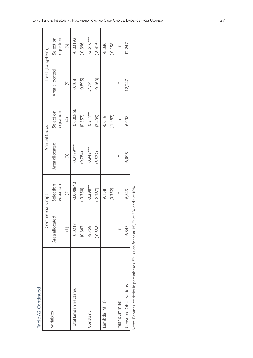Table A2 Continued Table A2 Continued

|                                                   | Commercial Crops                             |                             |                         | Annual Crops          | Trees (Long-Term) |                       |
|---------------------------------------------------|----------------------------------------------|-----------------------------|-------------------------|-----------------------|-------------------|-----------------------|
| Variables                                         | Area allocated                               | Selection<br>equation       | Area allocated          | Selection<br>equation | Area allocated    | Selection<br>equation |
|                                                   | $\widehat{=}$                                | $\widetilde{(\mathcal{Z})}$ | $\widehat{\mathcal{C}}$ | $\overline{4}$        | $\overline{5}$    | $\odot$               |
| Total land in hectares                            | 0.0217                                       | $-0.000840$                 | $0.0179***$             | 0.000856              | 0.108             | $-0.00192$            |
|                                                   | (0.847)                                      | $(-0.350)$                  | (9.784)                 | (0.357)               | (0.895)           | $(-0.366)$            |
| Constant                                          | $-8.759$                                     | $-0.298**$                  | $0.949***$              | $0.311**$             | 24.14             | $-2.516***$           |
|                                                   | $(-0.338)$                                   | $(-2.387)$                  | (3.527)                 | (2.499)               | (0.160)           | $(-8.415)$            |
| Lambda (Mills)                                    |                                              | 9.158                       |                         | $-0.619$              |                   | $-8.386$              |
|                                                   |                                              | (0.352)                     |                         | $(-1.487)$            |                   | $(-0.158)$            |
| Year dummies                                      |                                              |                             |                         |                       |                   | >                     |
| Censored Observations                             | 6,843                                        | 6,843                       | 6,098                   | 6,098                 | 12,247            | 12,247                |
| Notes: Robust z-statistics in parentheses. *** is | s significant at 1%, ** at 5%, and * at 10%. |                             |                         |                       |                   |                       |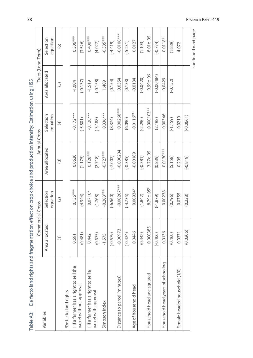| De facto land rights and fragmentation effect on crop choice and production intensity: Estimation using HSS<br>Table A <sub>3</sub> : |                                                |                            |                   |                       |                   |                       |
|---------------------------------------------------------------------------------------------------------------------------------------|------------------------------------------------|----------------------------|-------------------|-----------------------|-------------------|-----------------------|
|                                                                                                                                       | Commercial Crops                               |                            |                   | Annual Crops          | Trees (Long-Term) |                       |
| Variables                                                                                                                             | Area allocated                                 | Selection<br>equation      | Area allocated    | Selection<br>equation | Area allocated    | Selection<br>equation |
|                                                                                                                                       | $\left( \begin{matrix} 1 \end{matrix} \right)$ | $\widetilde{(\mathbf{2})}$ | $\widehat{\odot}$ | $\bigoplus$           | $\overline{5}$    | $\widehat{\circ}$     |
| <b>Pe facto land rights</b>                                                                                                           |                                                |                            |                   |                       |                   |                       |
| 1 if a farmer has a right to sell the                                                                                                 | 0.691                                          | $0.136***$                 | 0.0630            | $-0.172***$           | $-1.004$          | $0.306***$            |
| parcel without approval                                                                                                               | (0.481)                                        | (4.344)                    | (1.175)           | $(-5.501)$            | $(-0.137)$        | (3.526)               |
| 1 if a farmer has a right to sell a                                                                                                   | 0.442                                          | $0.0710*$                  | $0.128***$        | $-0.128***$           | $-1.519$          | $0.400***$            |
| parcel with approval                                                                                                                  | (0.575)                                        | (1.768)                    | (2.718)           | $(-3.188)$            | $(-0.158)$        | (4.027)               |
| Simpson Index                                                                                                                         | $-1.575$                                       | $-0.263***$                | $-0.727***$       | $0.336***$            | 1.409             | $-0.385***$           |
|                                                                                                                                       | $(-0.579)$                                     | $(-6.560)$                 | $(-7.002)$        | (8.374)               | (0.154)           | $(-4.419)$            |
| Distance to parcel (minutes)                                                                                                          | $-0.00973$                                     | $-0.00207***$              | $-0.000204$       | $0.00268***$          | 0.0354            | $-0.0108***$          |
|                                                                                                                                       | $(-0.424)$                                     | $(-4.735)$                 | $(-0.385)$        | (6.090)               | (0.133)           | $(-5.231)$            |
| Age of household head                                                                                                                 | 0.0446                                         | $0.00934*$                 | $-0.00189$        | $-0.0116**$           | $-0.0134$         | 0.0127                |
|                                                                                                                                       | (0.442)                                        | (1.842)                    | $(-0.381)$        | $(-2.290)$            | $(-0.0420)$       | (1.103)               |
| Household head age squared                                                                                                            | $-0.000385$                                    | $-8.79e - 05*$             | $3.77e-05$        | $0.000103**$          | $-9.99e - 06$     | $-8.01e-05$           |
|                                                                                                                                       | $(-0.406)$                                     | $(-1.879)$                 | (0.839)           | (2.198)               | $(-0.00484)$      | $(-0.774)$            |
| Household head years of schooling                                                                                                     | 0.0136                                         | 0.00238                    | $0.0130***$       | $-0.00346$            | $-0.0429$         | $0.0118*$             |
|                                                                                                                                       | (0.460)                                        | (0.796)                    | (5.158)           | $(-1.159)$            | $(-0.152)$        | (1.889)               |
| Female headed household (1/0)                                                                                                         | 0.0371                                         | 0.0755                     | $-0.205$          | $-0.0219$             |                   | $-4.072$              |

38

continued next page continued next page

 $(0.0206)$  (0.228)  $(0.228)$  (-0.819)

 $(0.228)$ 

 $(0.0206)$ 

 $(-0.819)$ 

 $(-0.0661)$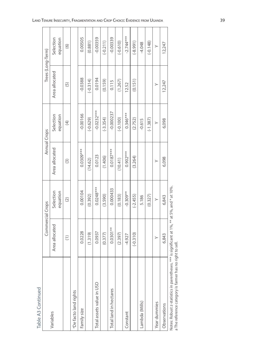| c |  |
|---|--|
|   |  |
| c |  |
|   |  |
|   |  |
|   |  |

|                                                                                                                                                         | Commercial Crops                               |                       | Annual Crops   |                       | Trees (Long-Term) |                       |
|---------------------------------------------------------------------------------------------------------------------------------------------------------|------------------------------------------------|-----------------------|----------------|-----------------------|-------------------|-----------------------|
| Variables                                                                                                                                               | Area allocated                                 | Selection<br>equation | Area allocated | Selection<br>equation | Area allocated    | Selection<br>equation |
|                                                                                                                                                         | $\left( \begin{matrix} 1 \end{matrix} \right)$ | $\widehat{c}$         | $\boxed{3}$    | $\bigoplus$           | $\overline{5}$    | $\odot$               |
| aDe facto land rights                                                                                                                                   |                                                |                       |                |                       |                   |                       |
| Family size                                                                                                                                             | 0.0228                                         | 0.00104               | $0.0309***$    | $-0.00166$            | $-0.0388$         | 0.00505               |
|                                                                                                                                                         | (1.319)                                        | (0.392)               | (14.62)        | $(-0.629)$            | $(-0.314)$        | (0.881)               |
| Total assets value in USD                                                                                                                               | 0.0937                                         | $0.0248***$           | 0.0123         | $-0.0232***$          | 0.0194            | $-0.00359$            |
|                                                                                                                                                         | (0.377)                                        | (3.590)               | (1.406)        | $(-3.354)$            | (0.159)           | $(-0.211)$            |
| Total land in hectares                                                                                                                                  | $0.0301**$                                     | 0.000433              | $0.0187***$    | $-0.000237$           | 0.115             | $-0.00339$            |
|                                                                                                                                                         | (2.397)                                        | (0.183)               | (10.41)        | $(-0.100)$            | (1.267)           | $(-0.610)$            |
| Constant                                                                                                                                                | $-4.927$                                       | $-0.309**$            | $0.902***$     | $0.346***$            | 12.52             | $-2.744***$           |
|                                                                                                                                                         | $(-0.310)$                                     | $(-2.455)$            | (3.264)        | (2.752)               | (0.151)           | $(-8.991)$            |
| Lambda (Mills)                                                                                                                                          |                                                | 5.186                 |                | $-0.615$              |                   | $-4.048$              |
|                                                                                                                                                         |                                                | (0.327)               |                | $(-1.387)$            |                   | $(-0.148)$            |
| Year dummies                                                                                                                                            | ≻                                              | $\geq$                | >              | ≻                     | >                 | $\geq$                |
| Observations                                                                                                                                            | 6,843                                          | 6,843                 | 6,098          | 6,098                 | 12,247            | 12,247                |
| Notes: Robust z-statistics in parentheses. *** is significant at 1%, ** at 5%, and * at 10%.<br>a The reference category is farmer has no right to sell |                                                |                       |                |                       |                   |                       |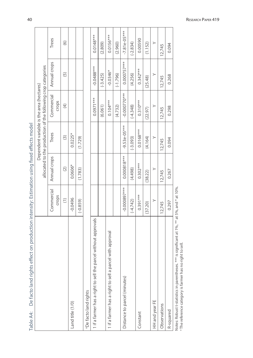| De facto land rights effect on production intensity: Estimation using fixed effects mode<br>Table A4: |                                                                                      |                            |                |                                                                                                           |                |                |
|-------------------------------------------------------------------------------------------------------|--------------------------------------------------------------------------------------|----------------------------|----------------|-----------------------------------------------------------------------------------------------------------|----------------|----------------|
|                                                                                                       |                                                                                      |                            |                | allocated to the production of the following crop categories<br>Dependent variable is the area (hectares) |                |                |
|                                                                                                       | Commercial                                                                           | Annual crops               | Trees          | Commercial                                                                                                | Annual crops   | Trees          |
|                                                                                                       | crops                                                                                |                            |                | crops                                                                                                     |                |                |
|                                                                                                       | $\left( \begin{array}{c} \rule{0pt}{2.5ex} \\ \rule{0pt}{2.5ex} \end{array} \right)$ | $\widetilde{(\mathbf{2})}$ | $\boxed{3}$    | $\left( 4\right)$                                                                                         | $\overline{5}$ | $\odot$        |
| Land title (1/0)                                                                                      | $-0.0496$                                                                            | 0.0606*                    | $0.0225*$      |                                                                                                           |                |                |
|                                                                                                       | $(-0.859)$                                                                           | (1.783)                    | (1.729)        |                                                                                                           |                |                |
| <sup>a</sup> De facto land rights                                                                     |                                                                                      |                            |                |                                                                                                           |                |                |
| without approvals<br>1 if a farmer has a right to sell the parcel                                     |                                                                                      |                            |                | $0.0971***$                                                                                               | $-0.0488***$   | $0.0148***$    |
|                                                                                                       |                                                                                      |                            |                | (6.061)                                                                                                   | $(-3.425)$     | (2.809)        |
| ith approval<br>1 if a farmer has a right to sell a parcel w                                          |                                                                                      |                            |                | $0.104***$                                                                                                | $-0.0346*$     | $0.0156***$    |
|                                                                                                       |                                                                                      |                            |                | (4.732)                                                                                                   | $(-1.796)$     | (2.960)        |
| Distance to parcel (minutes)                                                                          | $-0.000897***$                                                                       | $0.000818***$              | $-9.53e-05***$ | $-0.000770***$                                                                                            | $0.000757***$  | $-7.81e-05***$ |
|                                                                                                       | $(-4.742)$                                                                           | (4.498)                    | $(-3.093)$     | $(-4.348)$                                                                                                | (4.256)        | $(-2.834)$     |
| Constant                                                                                              | $0.391***$                                                                           | $0.302***$                 | $0.0168***$    | $0.310***$                                                                                                | $0.342***$     | 0.00590        |
|                                                                                                       | (37.20)                                                                              | (38.22)                    | (4.164)        | (22.97)                                                                                                   | (25.48)        | (1.152)        |
| HH and year FE                                                                                        | $\succ$                                                                              | ≻                          | $\geq$         | $\succ$                                                                                                   | $\succ$        | $\succ$        |
| Observations                                                                                          | 12,745                                                                               | 12,745                     | 12,745         | 12,745                                                                                                    | 12,745         | 12,745         |
| R-squared                                                                                             | 0.297                                                                                | 0.267                      | 0.094          | 0.298                                                                                                     | 0.268          | 0.094          |
| $-7.7$<br>**** :<br>and all and are the<br>مستنبط والمستنبط المناقب                                   |                                                                                      |                            |                |                                                                                                           |                |                |

40

Notes: Robust t-statistics in parentheses. \*\*\*\* is significant at 1%, \*\* at 5%, and \* at 10%.<br>" The reference category is farmer has no right to sell. Notes: Robust t-statistics in parentheses. \*\*\* is significant at 1%, \*\* at 5%, and \* at 10%.

a The reference category is farmer has no right to sell.